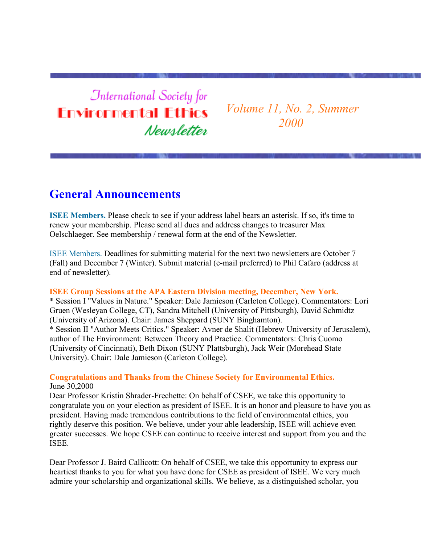**International Society for Environmental Ethics** Newsletter

*Volume 11, No. 2, Summer 2000*

#### **General Announcements**

**ISEE Members.** Please check to see if your address label bears an asterisk. If so, it's time to renew your membership. Please send all dues and address changes to treasurer Max Oelschlaeger. See membership / renewal form at the end of the Newsletter.

ISEE Members. Deadlines for submitting material for the next two newsletters are October 7 (Fall) and December 7 (Winter). Submit material (e-mail preferred) to Phil Cafaro (address at end of newsletter).

#### **ISEE Group Sessions at the APA Eastern Division meeting, December, New York.**

\* Session I "Values in Nature." Speaker: Dale Jamieson (Carleton College). Commentators: Lori Gruen (Wesleyan College, CT), Sandra Mitchell (University of Pittsburgh), David Schmidtz (University of Arizona). Chair: James Sheppard (SUNY Binghamton). \* Session II "Author Meets Critics." Speaker: Avner de Shalit (Hebrew University of Jerusalem), author of The Environment: Between Theory and Practice. Commentators: Chris Cuomo (University of Cincinnati), Beth Dixon (SUNY Plattsburgh), Jack Weir (Morehead State University). Chair: Dale Jamieson (Carleton College).

**Congratulations and Thanks from the Chinese Society for Environmental Ethics.** June 30,2000

Dear Professor Kristin Shrader-Frechette: On behalf of CSEE, we take this opportunity to congratulate you on your election as president of ISEE. It is an honor and pleasure to have you as president. Having made tremendous contributions to the field of environmental ethics, you rightly deserve this position. We believe, under your able leadership, ISEE will achieve even greater successes. We hope CSEE can continue to receive interest and support from you and the ISEE.

Dear Professor J. Baird Callicott: On behalf of CSEE, we take this opportunity to express our heartiest thanks to you for what you have done for CSEE as president of ISEE. We very much admire your scholarship and organizational skills. We believe, as a distinguished scholar, you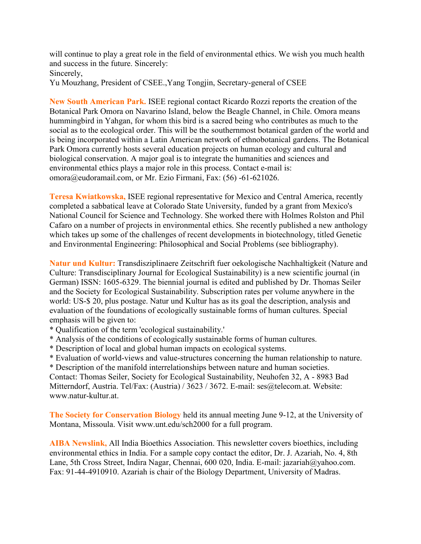will continue to play a great role in the field of environmental ethics. We wish you much health and success in the future. Sincerely: Sincerely,

Yu Mouzhang, President of CSEE.,Yang Tongjin, Secretary-general of CSEE

**New South American Park.** ISEE regional contact Ricardo Rozzi reports the creation of the Botanical Park Omora on Navarino Island, below the Beagle Channel, in Chile. Omora means hummingbird in Yahgan, for whom this bird is a sacred being who contributes as much to the social as to the ecological order. This will be the southernmost botanical garden of the world and is being incorporated within a Latin American network of ethnobotanical gardens. The Botanical Park Omora currently hosts several education projects on human ecology and cultural and biological conservation. A major goal is to integrate the humanities and sciences and environmental ethics plays a major role in this process. Contact e-mail is: omora@eudoramail.com, or Mr. Ezio Firmani, Fax: (56) -61-621026.

**Teresa Kwiatkowska,** ISEE regional representative for Mexico and Central America, recently completed a sabbatical leave at Colorado State University, funded by a grant from Mexico's National Council for Science and Technology. She worked there with Holmes Rolston and Phil Cafaro on a number of projects in environmental ethics. She recently published a new anthology which takes up some of the challenges of recent developments in biotechnology, titled Genetic and Environmental Engineering: Philosophical and Social Problems (see bibliography).

**Natur und Kultur:** Transdisziplinaere Zeitschrift fuer oekologische Nachhaltigkeit (Nature and Culture: Transdisciplinary Journal for Ecological Sustainability) is a new scientific journal (in German) ISSN: 1605-6329. The biennial journal is edited and published by Dr. Thomas Seiler and the Society for Ecological Sustainability. Subscription rates per volume anywhere in the world: US-\$ 20, plus postage. Natur und Kultur has as its goal the description, analysis and evaluation of the foundations of ecologically sustainable forms of human cultures. Special emphasis will be given to:

- \* Qualification of the term 'ecological sustainability.'
- \* Analysis of the conditions of ecologically sustainable forms of human cultures.
- \* Description of local and global human impacts on ecological systems.
- \* Evaluation of world-views and value-structures concerning the human relationship to nature.
- \* Description of the manifold interrelationships between nature and human societies.

Contact: Thomas Seiler, Society for Ecological Sustainability, Neuhofen 32, A - 8983 Bad Mitterndorf, Austria. Tel/Fax: (Austria) / 3623 / 3672. E-mail: ses@telecom.at. Website: www.natur-kultur.at.

**The Society for Conservation Biology** held its annual meeting June 9-12, at the University of Montana, Missoula. Visit www.unt.edu/sch2000 for a full program.

**AIBA Newslink,** All India Bioethics Association. This newsletter covers bioethics, including environmental ethics in India. For a sample copy contact the editor, Dr. J. Azariah, No. 4, 8th Lane, 5th Cross Street, Indira Nagar, Chennai, 600 020, India. E-mail: jazariah@yahoo.com. Fax: 91-44-4910910. Azariah is chair of the Biology Department, University of Madras.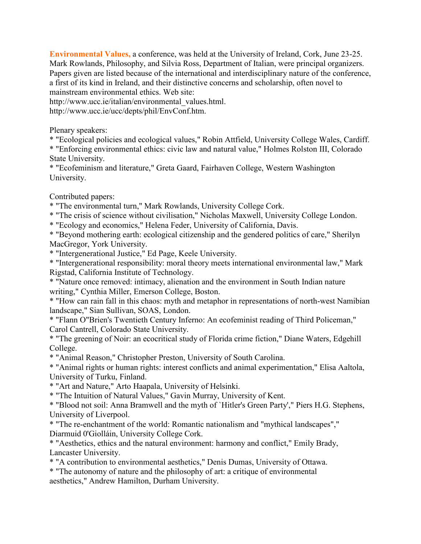**Environmental Values,** a conference, was held at the University of Ireland, Cork, June 23-25. Mark Rowlands, Philosophy, and Silvia Ross, Department of Italian, were principal organizers. Papers given are listed because of the international and interdisciplinary nature of the conference, a first of its kind in Ireland, and their distinctive concerns and scholarship, often novel to mainstream environmental ethics. Web site:

http://www.ucc.ie/italian/environmental\_values.html. http://www.ucc.ie/ucc/depts/phil/EnvConf.htm.

Plenary speakers:

\* "Ecological policies and ecological values," Robin Attfield, University College Wales, Cardiff.

\* "Enforcing environmental ethics: civic law and natural value," Holmes Rolston III, Colorado State University.

\* "Ecofeminism and literature," Greta Gaard, Fairhaven College, Western Washington University.

Contributed papers:

\* "The environmental turn," Mark Rowlands, University College Cork.

\* "The crisis of science without civilisation," Nicholas Maxwell, University College London.

\* "Ecology and economics," Helena Feder, University of California, Davis.

\* "Beyond mothering earth: ecological citizenship and the gendered politics of care," Sherilyn MacGregor, York University.

\* "Intergenerational Justice," Ed Page, Keele University.

\* "Intergenerational responsibility: moral theory meets international environmental law," Mark Rigstad, California Institute of Technology.

\* "Nature once removed: intimacy, alienation and the environment in South Indian nature writing," Cynthia Miller, Emerson College, Boston.

\* "How can rain fall in this chaos: myth and metaphor in representations of north-west Namibian landscape," Sian Sullivan, SOAS, London.

\* "Flann O"Brien's Twentieth Century Inferno: An ecofeminist reading of Third Policeman," Carol Cantrell, Colorado State University.

\* "The greening of Noir: an ecocritical study of Florida crime fiction," Diane Waters, Edgehill College.

\* "Animal Reason," Christopher Preston, University of South Carolina.

\* "Animal rights or human rights: interest conflicts and animal experimentation," Elisa Aaltola, University of Turku, Finland.

\* "Art and Nature," Arto Haapala, University of Helsinki.

\* "The Intuition of Natural Values," Gavin Murray, University of Kent.

\* "Blood not soil: Anna Bramwell and the myth of `Hitler's Green Party'," Piers H.G. Stephens, University of Liverpool.

\* "The re-enchantment of the world: Romantic nationalism and "mythical landscapes"," Diarmuid 0'Giolláin, University College Cork.

\* "Aesthetics, ethics and the natural environment: harmony and conflict," Emily Brady, Lancaster University.

\* "A contribution to environmental aesthetics," Denis Dumas, University of Ottawa.

\* "The autonomy of nature and the philosophy of art: a critique of environmental

aesthetics," Andrew Hamilton, Durham University.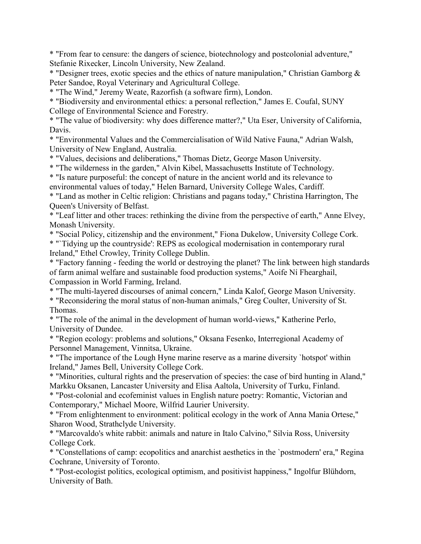\* "From fear to censure: the dangers of science, biotechnology and postcolonial adventure," Stefanie Rixecker, Lincoln University, New Zealand.

\* "Designer trees, exotic species and the ethics of nature manipulation," Christian Gamborg & Peter Sandoe, Royal Veterinary and Agricultural College.

\* "The Wind," Jeremy Weate, Razorfish (a software firm), London.

\* "Biodiversity and environmental ethics: a personal reflection," James E. Coufal, SUNY College of Environmental Science and Forestry.

\* "The value of biodiversity: why does difference matter?," Uta Eser, University of California, Davis.

\* "Environmental Values and the Commercialisation of Wild Native Fauna," Adrian Walsh, University of New England, Australia.

\* "Values, decisions and deliberations," Thomas Dietz, George Mason University.

\* "The wilderness in the garden," Alvin Kibel, Massachusetts Institute of Technology.

\* "Is nature purposeful: the concept of nature in the ancient world and its relevance to

environmental values of today," Helen Barnard, University College Wales, Cardiff.

\* "Land as mother in Celtic religion: Christians and pagans today," Christina Harrington, The Queen's University of Belfast.

\* "Leaf litter and other traces: rethinking the divine from the perspective of earth," Anne Elvey, Monash University.

\* "Social Policy, citizenship and the environment," Fiona Dukelow, University College Cork. \* "`Tidying up the countryside': REPS as ecological modernisation in contemporary rural Ireland," Ethel Crowley, Trinity College Dublin.

\* "Factory fanning - feeding the world or destroying the planet? The link between high standards of farm animal welfare and sustainable food production systems," Aoife Ní Fhearghail, Compassion in World Farming, Ireland.

\* "The multi-layered discourses of animal concern," Linda Kalof, George Mason University.

\* "Reconsidering the moral status of non-human animals," Greg Coulter, University of St. Thomas.

\* "The role of the animal in the development of human world-views," Katherine Perlo, University of Dundee.

\* "Region ecology: problems and solutions," Oksana Fesenko, Interregional Academy of Personnel Management, Vinnitsa, Ukraine.

\* "The importance of the Lough Hyne marine reserve as a marine diversity `hotspot' within Ireland," James Bell, University College Cork.

\* "Minorities, cultural rights and the preservation of species: the case of bird hunting in Aland," Markku Oksanen, Lancaster University and Elisa Aaltola, University of Turku, Finland.

\* "Post-colonial and ecofeminist values in English nature poetry: Romantic, Victorian and Contemporary," Michael Moore, Wilfrid Laurier University.

\* "From enlightenment to environment: political ecology in the work of Anna Mania Ortese," Sharon Wood, Strathclyde University.

\* "Marcovaldo's white rabbit: animals and nature in Italo Calvino," Silvia Ross, University College Cork.

\* "Constellations of camp: ecopolitics and anarchist aesthetics in the `postmodern' era," Regina Cochrane, University of Toronto.

\* "Post-ecologist politics, ecological optimism, and positivist happiness," Ingolfur Blühdorn, University of Bath.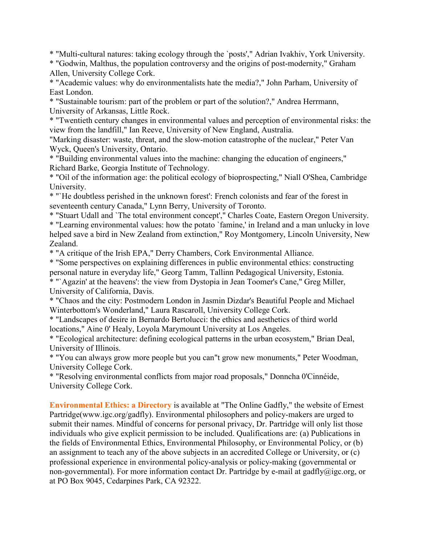\* "Multi-cultural natures: taking ecology through the `posts'," Adrian Ivakhiv, York University.

\* "Godwin, Malthus, the population controversy and the origins of post-modernity," Graham Allen, University College Cork.

\* "Academic values: why do environmentalists hate the media?," John Parham, University of East London.

\* "Sustainable tourism: part of the problem or part of the solution?," Andrea Herrmann, University of Arkansas, Little Rock.

\* "Twentieth century changes in environmental values and perception of environmental risks: the view from the landfill," Ian Reeve, University of New England, Australia.

"Marking disaster: waste, threat, and the slow-motion catastrophe of the nuclear," Peter Van Wyck, Queen's University, Ontario.

\* "Building environmental values into the machine: changing the education of engineers," Richard Barke, Georgia Institute of Technology.

\* "Oil of the information age: the political ecology of bioprospecting," Niall O'Shea, Cambridge University.

\* "`He doubtless perished in the unknown forest': French colonists and fear of the forest in seventeenth century Canada," Lynn Berry, University of Toronto.

\* "Stuart Udall and `The total environment concept'," Charles Coate, Eastern Oregon University. \* "Learning environmental values: how the potato `famine,' in Ireland and a man unlucky in love helped save a bird in New Zealand from extinction," Roy Montgomery, Lincoln University, New Zealand.

\* "A critique of the Irish EPA," Derry Chambers, Cork Environmental Alliance.

\* "Some perspectives on explaining differences in public environmental ethics: constructing personal nature in everyday life," Georg Tamm, Tallinn Pedagogical University, Estonia. \* "`Agazin' at the heavens': the view from Dystopia in Jean Toomer's Cane," Greg Miller, University of California, Davis.

\* "Chaos and the city: Postmodern London in Jasmin Dizdar's Beautiful People and Michael Winterbottom's Wonderland," Laura Rascaroll, University College Cork.

\* "Landscapes of desire in Bernardo Bertolucci: the ethics and aesthetics of third world locations," Aine 0' Healy, Loyola Marymount University at Los Angeles.

\* "Ecological architecture: defining ecological patterns in the urban ecosystem," Brian Deal, University of Illinois.

\* "You can always grow more people but you can"t grow new monuments," Peter Woodman, University College Cork.

\* "Resolving environmental conflicts from major road proposals," Donncha 0'Cinnéide, University College Cork.

**Environmental Ethics: a Directory** is available at "The Online Gadfly," the website of Ernest Partridge(www.igc.org/gadfly). Environmental philosophers and policy-makers are urged to submit their names. Mindful of concerns for personal privacy, Dr. Partridge will only list those individuals who give explicit permission to be included. Qualifications are: (a) Publications in the fields of Environmental Ethics, Environmental Philosophy, or Environmental Policy, or (b) an assignment to teach any of the above subjects in an accredited College or University, or (c) professional experience in environmental policy-analysis or policy-making (governmental or non-governmental). For more information contact Dr. Partridge by e-mail at gadfly@igc.org, or at PO Box 9045, Cedarpines Park, CA 92322.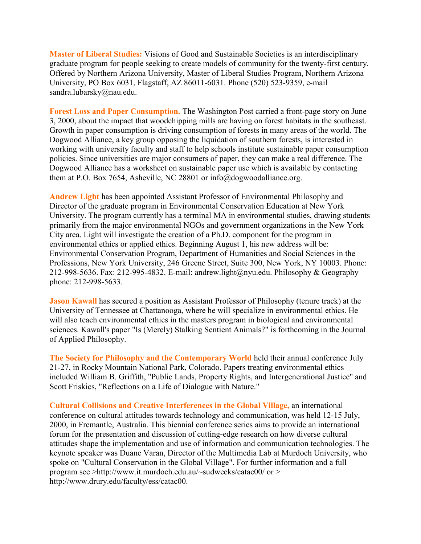**Master of Liberal Studies:** Visions of Good and Sustainable Societies is an interdisciplinary graduate program for people seeking to create models of community for the twenty-first century. Offered by Northern Arizona University, Master of Liberal Studies Program, Northern Arizona University, PO Box 6031, Flagstaff, AZ 86011-6031. Phone (520) 523-9359, e-mail sandra.lubarsky@nau.edu.

**Forest Loss and Paper Consumption.** The Washington Post carried a front-page story on June 3, 2000, about the impact that woodchipping mills are having on forest habitats in the southeast. Growth in paper consumption is driving consumption of forests in many areas of the world. The Dogwood Alliance, a key group opposing the liquidation of southern forests, is interested in working with university faculty and staff to help schools institute sustainable paper consumption policies. Since universities are major consumers of paper, they can make a real difference. The Dogwood Alliance has a worksheet on sustainable paper use which is available by contacting them at P.O. Box 7654, Asheville, NC 28801 or info@dogwoodalliance.org.

**Andrew Light** has been appointed Assistant Professor of Environmental Philosophy and Director of the graduate program in Environmental Conservation Education at New York University. The program currently has a terminal MA in environmental studies, drawing students primarily from the major environmental NGOs and government organizations in the New York City area. Light will investigate the creation of a Ph.D. component for the program in environmental ethics or applied ethics. Beginning August 1, his new address will be: Environmental Conservation Program, Department of Humanities and Social Sciences in the Professions, New York University, 246 Greene Street, Suite 300, New York, NY 10003. Phone: 212-998-5636. Fax: 212-995-4832. E-mail: andrew.light@nyu.edu. Philosophy & Geography phone: 212-998-5633.

**Jason Kawall** has secured a position as Assistant Professor of Philosophy (tenure track) at the University of Tennessee at Chattanooga, where he will specialize in environmental ethics. He will also teach environmental ethics in the masters program in biological and environmental sciences. Kawall's paper "Is (Merely) Stalking Sentient Animals?" is forthcoming in the Journal of Applied Philosophy.

**The Society for Philosophy and the Contemporary World** held their annual conference July 21-27, in Rocky Mountain National Park, Colorado. Papers treating environmental ethics included William B. Griffith, "Public Lands, Property Rights, and Intergenerational Justice" and Scott Friskics, "Reflections on a Life of Dialogue with Nature."

**Cultural Collisions and Creative Interferences in the Global Village,** an international conference on cultural attitudes towards technology and communication, was held 12-15 July, 2000, in Fremantle, Australia. This biennial conference series aims to provide an international forum for the presentation and discussion of cutting-edge research on how diverse cultural attitudes shape the implementation and use of information and communication technologies. The keynote speaker was Duane Varan, Director of the Multimedia Lab at Murdoch University, who spoke on "Cultural Conservation in the Global Village". For further information and a full program see >http://www.it.murdoch.edu.au/~sudweeks/catac00/ or > http://www.drury.edu/faculty/ess/catac00.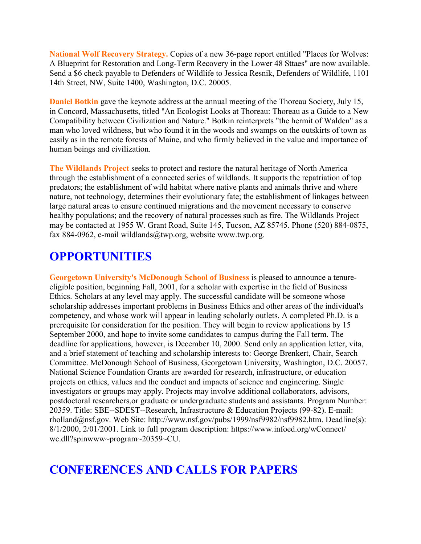**National Wolf Recovery Strategy.** Copies of a new 36-page report entitled "Places for Wolves: A Blueprint for Restoration and Long-Term Recovery in the Lower 48 Sttaes" are now available. Send a \$6 check payable to Defenders of Wildlife to Jessica Resnik, Defenders of Wildlife, 1101 14th Street, NW, Suite 1400, Washington, D.C. 20005.

**Daniel Botkin** gave the keynote address at the annual meeting of the Thoreau Society, July 15, in Concord, Massachusetts, titled "An Ecologist Looks at Thoreau: Thoreau as a Guide to a New Compatibility between Civilization and Nature." Botkin reinterprets "the hermit of Walden" as a man who loved wildness, but who found it in the woods and swamps on the outskirts of town as easily as in the remote forests of Maine, and who firmly believed in the value and importance of human beings and civilization.

**The Wildlands Project** seeks to protect and restore the natural heritage of North America through the establishment of a connected series of wildlands. It supports the repatriation of top predators; the establishment of wild habitat where native plants and animals thrive and where nature, not technology, determines their evolutionary fate; the establishment of linkages between large natural areas to ensure continued migrations and the movement necessary to conserve healthy populations; and the recovery of natural processes such as fire. The Wildlands Project may be contacted at 1955 W. Grant Road, Suite 145, Tucson, AZ 85745. Phone (520) 884-0875, fax 884-0962, e-mail wildlands@twp.org, website www.twp.org.

# **OPPORTUNITIES**

**Georgetown University's McDonough School of Business** is pleased to announce a tenureeligible position, beginning Fall, 2001, for a scholar with expertise in the field of Business Ethics. Scholars at any level may apply. The successful candidate will be someone whose scholarship addresses important problems in Business Ethics and other areas of the individual's competency, and whose work will appear in leading scholarly outlets. A completed Ph.D. is a prerequisite for consideration for the position. They will begin to review applications by 15 September 2000, and hope to invite some candidates to campus during the Fall term. The deadline for applications, however, is December 10, 2000. Send only an application letter, vita, and a brief statement of teaching and scholarship interests to: George Brenkert, Chair, Search Committee. McDonough School of Business, Georgetown University, Washington, D.C. 20057. National Science Foundation Grants are awarded for research, infrastructure, or education projects on ethics, values and the conduct and impacts of science and engineering. Single investigators or groups may apply. Projects may involve additional collaborators, advisors, postdoctoral researchers,or graduate or undergraduate students and assistants. Program Number: 20359. Title: SBE--SDEST--Research, Infrastructure & Education Projects (99-82). E-mail: rholland@nsf.gov. Web Site: http://www.nsf.gov/pubs/1999/nsf9982/nsf9982.htm. Deadline(s): 8/1/2000, 2/01/2001. Link to full program description: https://www.infoed.org/wConnect/ wc.dll?spinwww~program~20359~CU.

# **CONFERENCES AND CALLS FOR PAPERS**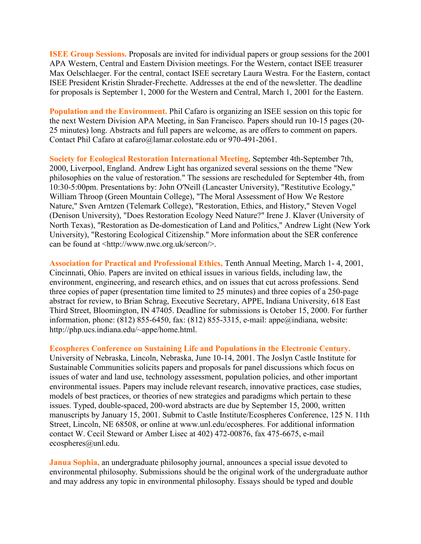**ISEE Group Sessions.** Proposals are invited for individual papers or group sessions for the 2001 APA Western, Central and Eastern Division meetings. For the Western, contact ISEE treasurer Max Oelschlaeger. For the central, contact ISEE secretary Laura Westra. For the Eastern, contact ISEE President Kristin Shrader-Frechette. Addresses at the end of the newsletter. The deadline for proposals is September 1, 2000 for the Western and Central, March 1, 2001 for the Eastern.

**Population and the Environment.** Phil Cafaro is organizing an ISEE session on this topic for the next Western Division APA Meeting, in San Francisco. Papers should run 10-15 pages (20- 25 minutes) long. Abstracts and full papers are welcome, as are offers to comment on papers. Contact Phil Cafaro at cafaro@lamar.colostate.edu or 970-491-2061.

**Society for Ecological Restoration International Meeting,** September 4th-September 7th, 2000, Liverpool, England. Andrew Light has organized several sessions on the theme "New philosophies on the value of restoration." The sessions are rescheduled for September 4th, from 10:30-5:00pm. Presentations by: John O'Neill (Lancaster University), "Restitutive Ecology," William Throop (Green Mountain College), "The Moral Assessment of How We Restore Nature," Sven Arntzen (Telemark College), "Restoration, Ethics, and History," Steven Vogel (Denison University), "Does Restoration Ecology Need Nature?" Irene J. Klaver (University of North Texas), "Restoration as De-domestication of Land and Politics," Andrew Light (New York University), "Restoring Ecological Citizenship." More information about the SER conference can be found at <http://www.nwc.org.uk/sercon/>.

**Association for Practical and Professional Ethics,** Tenth Annual Meeting, March 1- 4, 2001, Cincinnati, Ohio. Papers are invited on ethical issues in various fields, including law, the environment, engineering, and research ethics, and on issues that cut across professions. Send three copies of paper (presentation time limited to 25 minutes) and three copies of a 250-page abstract for review, to Brian Schrag, Executive Secretary, APPE, Indiana University, 618 East Third Street, Bloomington, IN 47405. Deadline for submissions is October 15, 2000. For further information, phone: (812) 855-6450, fax: (812) 855-3315, e-mail: appe@indiana, website: http://php.ucs.indiana.edu/~appe/home.html.

#### **Ecospheres Conference on Sustaining Life and Populations in the Electronic Century.**

University of Nebraska, Lincoln, Nebraska, June 10-14, 2001. The Joslyn Castle Institute for Sustainable Communities solicits papers and proposals for panel discussions which focus on issues of water and land use, technology assessment, population policies, and other important environmental issues. Papers may include relevant research, innovative practices, case studies, models of best practices, or theories of new strategies and paradigms which pertain to these issues. Typed, double-spaced, 200-word abstracts are due by September 15, 2000, written manuscripts by January 15, 2001. Submit to Castle Institute/Ecospheres Conference, 125 N. 11th Street, Lincoln, NE 68508, or online at www.unl.edu/ecospheres. For additional information contact W. Cecil Steward or Amber Lisec at 402) 472-00876, fax 475-6675, e-mail ecospheres@unl.edu.

**Janua Sophia,** an undergraduate philosophy journal, announces a special issue devoted to environmental philosophy. Submissions should be the original work of the undergraduate author and may address any topic in environmental philosophy. Essays should be typed and double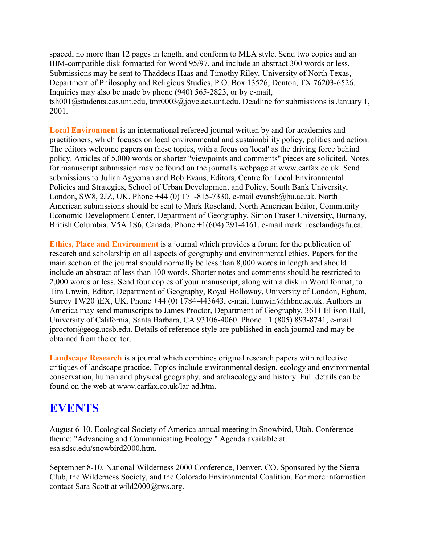spaced, no more than 12 pages in length, and conform to MLA style. Send two copies and an IBM-compatible disk formatted for Word 95/97, and include an abstract 300 words or less. Submissions may be sent to Thaddeus Haas and Timothy Riley, University of North Texas, Department of Philosophy and Religious Studies, P.O. Box 13526, Denton, TX 76203-6526. Inquiries may also be made by phone (940) 565-2823, or by e-mail, tsh001@students.cas.unt.edu, tmr0003@jove.acs.unt.edu. Deadline for submissions is January 1, 2001.

**Local Environment** is an international refereed journal written by and for academics and practitioners, which focuses on local environmental and sustainability policy, politics and action. The editors welcome papers on these topics, with a focus on 'local' as the driving force behind policy. Articles of 5,000 words or shorter "viewpoints and comments" pieces are solicited. Notes for manuscript submission may be found on the journal's webpage at www.carfax.co.uk. Send submissions to Julian Agyeman and Bob Evans, Editors, Centre for Local Environmental Policies and Strategies, School of Urban Development and Policy, South Bank University, London, SW8, 2JZ, UK. Phone +44 (0) 171-815-7330, e-mail evansb@bu.ac.uk. North American submissions should be sent to Mark Roseland, North American Editor, Community Economic Development Center, Department of Georgraphy, Simon Fraser University, Burnaby, British Columbia, V5A 1S6, Canada. Phone +1(604) 291-4161, e-mail mark\_roseland@sfu.ca.

**Ethics, Place and Environment** is a journal which provides a forum for the publication of research and scholarship on all aspects of geography and environmental ethics. Papers for the main section of the journal should normally be less than 8,000 words in length and should include an abstract of less than 100 words. Shorter notes and comments should be restricted to 2,000 words or less. Send four copies of your manuscript, along with a disk in Word format, to Tim Unwin, Editor, Department of Geography, Royal Holloway, University of London, Egham, Surrey TW20 )EX, UK. Phone +44 (0) 1784-443643, e-mail t.unwin@rhbnc.ac.uk. Authors in America may send manuscripts to James Proctor, Department of Geography, 3611 Ellison Hall, University of California, Santa Barbara, CA 93106-4060. Phone +1 (805) 893-8741, e-mail  $iprotor@geog.uckb.edu. Details of reference style are published in each journal and may be$ obtained from the editor.

**Landscape Research** is a journal which combines original research papers with reflective critiques of landscape practice. Topics include environmental design, ecology and environmental conservation, human and physical geography, and archaeology and history. Full details can be found on the web at www.carfax.co.uk/lar-ad.htm.

## **EVENTS**

August 6-10. Ecological Society of America annual meeting in Snowbird, Utah. Conference theme: "Advancing and Communicating Ecology." Agenda available at esa.sdsc.edu/snowbird2000.htm.

September 8-10. National Wilderness 2000 Conference, Denver, CO. Sponsored by the Sierra Club, the Wilderness Society, and the Colorado Environmental Coalition. For more information contact Sara Scott at wild2000@tws.org.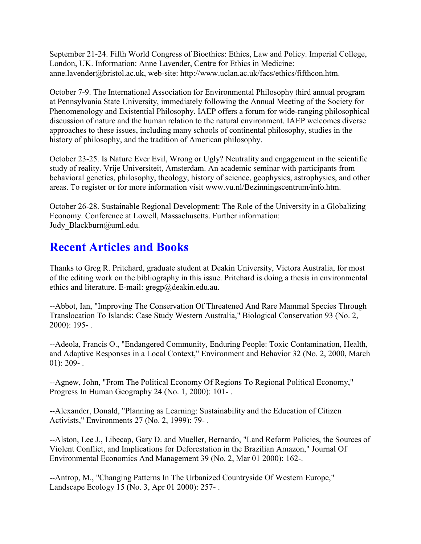September 21-24. Fifth World Congress of Bioethics: Ethics, Law and Policy. Imperial College, London, UK. Information: Anne Lavender, Centre for Ethics in Medicine: anne.lavender@bristol.ac.uk, web-site: http://www.uclan.ac.uk/facs/ethics/fifthcon.htm.

October 7-9. The International Association for Environmental Philosophy third annual program at Pennsylvania State University, immediately following the Annual Meeting of the Society for Phenomenology and Existential Philosophy. IAEP offers a forum for wide-ranging philosophical discussion of nature and the human relation to the natural environment. IAEP welcomes diverse approaches to these issues, including many schools of continental philosophy, studies in the history of philosophy, and the tradition of American philosophy.

October 23-25. Is Nature Ever Evil, Wrong or Ugly? Neutrality and engagement in the scientific study of reality. Vrije Universiteit, Amsterdam. An academic seminar with participants from behavioral genetics, philosophy, theology, history of science, geophysics, astrophysics, and other areas. To register or for more information visit www.vu.nl/Bezinningscentrum/info.htm.

October 26-28. Sustainable Regional Development: The Role of the University in a Globalizing Economy. Conference at Lowell, Massachusetts. Further information: Judy Blackburn@uml.edu.

# **Recent Articles and Books**

Thanks to Greg R. Pritchard, graduate student at Deakin University, Victora Australia, for most of the editing work on the bibliography in this issue. Pritchard is doing a thesis in environmental ethics and literature. E-mail:  $\text{grego}(a)$ deakin.edu.au.

--Abbot, Ian, "Improving The Conservation Of Threatened And Rare Mammal Species Through Translocation To Islands: Case Study Western Australia," Biological Conservation 93 (No. 2, 2000): 195- .

--Adeola, Francis O., "Endangered Community, Enduring People: Toxic Contamination, Health, and Adaptive Responses in a Local Context," Environment and Behavior 32 (No. 2, 2000, March  $01$ : 209-.

--Agnew, John, "From The Political Economy Of Regions To Regional Political Economy," Progress In Human Geography 24 (No. 1, 2000): 101- .

--Alexander, Donald, "Planning as Learning: Sustainability and the Education of Citizen Activists," Environments 27 (No. 2, 1999): 79- .

--Alston, Lee J., Libecap, Gary D. and Mueller, Bernardo, "Land Reform Policies, the Sources of Violent Conflict, and Implications for Deforestation in the Brazilian Amazon," Journal Of Environmental Economics And Management 39 (No. 2, Mar 01 2000): 162-.

--Antrop, M., "Changing Patterns In The Urbanized Countryside Of Western Europe," Landscape Ecology 15 (No. 3, Apr 01 2000): 257- .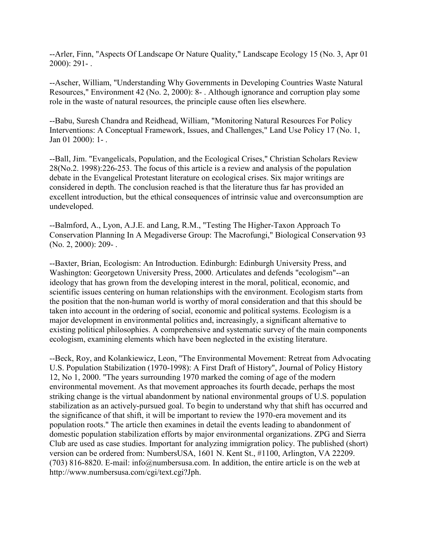--Arler, Finn, "Aspects Of Landscape Or Nature Quality," Landscape Ecology 15 (No. 3, Apr 01 2000): 291- .

--Ascher, William, "Understanding Why Governments in Developing Countries Waste Natural Resources," Environment 42 (No. 2, 2000): 8- . Although ignorance and corruption play some role in the waste of natural resources, the principle cause often lies elsewhere.

--Babu, Suresh Chandra and Reidhead, William, "Monitoring Natural Resources For Policy Interventions: A Conceptual Framework, Issues, and Challenges," Land Use Policy 17 (No. 1, Jan 01 2000): 1- .

--Ball, Jim. "Evangelicals, Population, and the Ecological Crises," Christian Scholars Review 28(No.2. 1998):226-253. The focus of this article is a review and analysis of the population debate in the Evangelical Protestant literature on ecological crises. Six major writings are considered in depth. The conclusion reached is that the literature thus far has provided an excellent introduction, but the ethical consequences of intrinsic value and overconsumption are undeveloped.

--Balmford, A., Lyon, A.J.E. and Lang, R.M., "Testing The Higher-Taxon Approach To Conservation Planning In A Megadiverse Group: The Macrofungi," Biological Conservation 93 (No. 2, 2000): 209- .

--Baxter, Brian, Ecologism: An Introduction. Edinburgh: Edinburgh University Press, and Washington: Georgetown University Press, 2000. Articulates and defends "ecologism"--an ideology that has grown from the developing interest in the moral, political, economic, and scientific issues centering on human relationships with the environment. Ecologism starts from the position that the non-human world is worthy of moral consideration and that this should be taken into account in the ordering of social, economic and political systems. Ecologism is a major development in environmental politics and, increasingly, a significant alternative to existing political philosophies. A comprehensive and systematic survey of the main components ecologism, examining elements which have been neglected in the existing literature.

--Beck, Roy, and Kolankiewicz, Leon, "The Environmental Movement: Retreat from Advocating U.S. Population Stabilization (1970-1998): A First Draft of History", Journal of Policy History 12, No 1, 2000. "The years surrounding 1970 marked the coming of age of the modern environmental movement. As that movement approaches its fourth decade, perhaps the most striking change is the virtual abandonment by national environmental groups of U.S. population stabilization as an actively-pursued goal. To begin to understand why that shift has occurred and the significance of that shift, it will be important to review the 1970-era movement and its population roots." The article then examines in detail the events leading to abandonment of domestic population stabilization efforts by major environmental organizations. ZPG and Sierra Club are used as case studies. Important for analyzing immigration policy. The published (short) version can be ordered from: NumbersUSA, 1601 N. Kent St., #1100, Arlington, VA 22209. (703) 816-8820. E-mail: info@numbersusa.com. In addition, the entire article is on the web at http://www.numbersusa.com/cgi/text.cgi?Jph.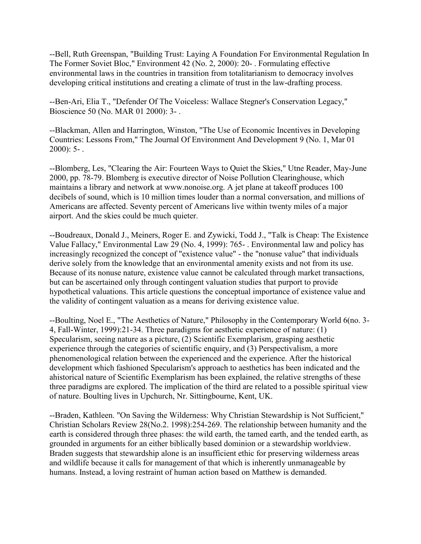--Bell, Ruth Greenspan, "Building Trust: Laying A Foundation For Environmental Regulation In The Former Soviet Bloc," Environment 42 (No. 2, 2000): 20- . Formulating effective environmental laws in the countries in transition from totalitarianism to democracy involves developing critical institutions and creating a climate of trust in the law-drafting process.

--Ben-Ari, Elia T., "Defender Of The Voiceless: Wallace Stegner's Conservation Legacy," Bioscience 50 (No. MAR 01 2000): 3- .

--Blackman, Allen and Harrington, Winston, "The Use of Economic Incentives in Developing Countries: Lessons From," The Journal Of Environment And Development 9 (No. 1, Mar 01  $2000$ : 5-.

--Blomberg, Les, "Clearing the Air: Fourteen Ways to Quiet the Skies," Utne Reader, May-June 2000, pp. 78-79. Blomberg is executive director of Noise Pollution Clearinghouse, which maintains a library and network at www.nonoise.org. A jet plane at takeoff produces 100 decibels of sound, which is 10 million times louder than a normal conversation, and millions of Americans are affected. Seventy percent of Americans live within twenty miles of a major airport. And the skies could be much quieter.

--Boudreaux, Donald J., Meiners, Roger E. and Zywicki, Todd J., "Talk is Cheap: The Existence Value Fallacy," Environmental Law 29 (No. 4, 1999): 765- . Environmental law and policy has increasingly recognized the concept of "existence value" - the "nonuse value" that individuals derive solely from the knowledge that an environmental amenity exists and not from its use. Because of its nonuse nature, existence value cannot be calculated through market transactions, but can be ascertained only through contingent valuation studies that purport to provide hypothetical valuations. This article questions the conceptual importance of existence value and the validity of contingent valuation as a means for deriving existence value.

--Boulting, Noel E., "The Aesthetics of Nature," Philosophy in the Contemporary World 6(no. 3- 4, Fall-Winter, 1999):21-34. Three paradigms for aesthetic experience of nature: (1) Specularism, seeing nature as a picture, (2) Scientific Exemplarism, grasping aesthetic experience through the categories of scientific enquiry, and (3) Perspectivalism, a more phenomenological relation between the experienced and the experience. After the historical development which fashioned Specularism's approach to aesthetics has been indicated and the ahistorical nature of Scientific Exemplarism has been explained, the relative strengths of these three paradigms are explored. The implication of the third are related to a possible spiritual view of nature. Boulting lives in Upchurch, Nr. Sittingbourne, Kent, UK.

--Braden, Kathleen. "On Saving the Wilderness: Why Christian Stewardship is Not Sufficient," Christian Scholars Review 28(No.2. 1998):254-269. The relationship between humanity and the earth is considered through three phases: the wild earth, the tamed earth, and the tended earth, as grounded in arguments for an either biblically based dominion or a stewardship worldview. Braden suggests that stewardship alone is an insufficient ethic for preserving wilderness areas and wildlife because it calls for management of that which is inherently unmanageable by humans. Instead, a loving restraint of human action based on Matthew is demanded.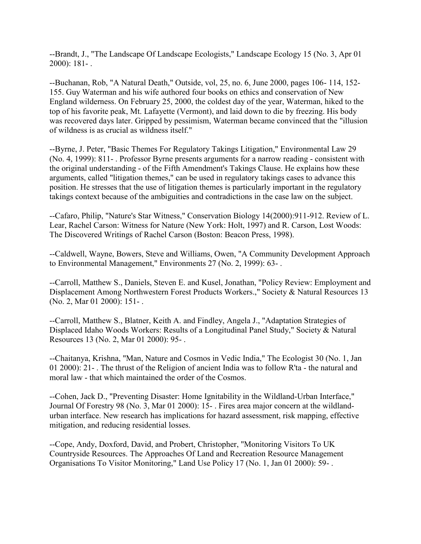--Brandt, J., "The Landscape Of Landscape Ecologists," Landscape Ecology 15 (No. 3, Apr 01 2000): 181- .

--Buchanan, Rob, "A Natural Death," Outside, vol, 25, no. 6, June 2000, pages 106- 114, 152- 155. Guy Waterman and his wife authored four books on ethics and conservation of New England wilderness. On February 25, 2000, the coldest day of the year, Waterman, hiked to the top of his favorite peak, Mt. Lafayette (Vermont), and laid down to die by freezing. His body was recovered days later. Gripped by pessimism, Waterman became convinced that the "illusion of wildness is as crucial as wildness itself."

--Byrne, J. Peter, "Basic Themes For Regulatory Takings Litigation," Environmental Law 29 (No. 4, 1999): 811- . Professor Byrne presents arguments for a narrow reading - consistent with the original understanding - of the Fifth Amendment's Takings Clause. He explains how these arguments, called "litigation themes," can be used in regulatory takings cases to advance this position. He stresses that the use of litigation themes is particularly important in the regulatory takings context because of the ambiguities and contradictions in the case law on the subject.

--Cafaro, Philip, "Nature's Star Witness," Conservation Biology 14(2000):911-912. Review of L. Lear, Rachel Carson: Witness for Nature (New York: Holt, 1997) and R. Carson, Lost Woods: The Discovered Writings of Rachel Carson (Boston: Beacon Press, 1998).

--Caldwell, Wayne, Bowers, Steve and Williams, Owen, "A Community Development Approach to Environmental Management," Environments 27 (No. 2, 1999): 63- .

--Carroll, Matthew S., Daniels, Steven E. and Kusel, Jonathan, "Policy Review: Employment and Displacement Among Northwestern Forest Products Workers.," Society & Natural Resources 13 (No. 2, Mar 01 2000): 151- .

--Carroll, Matthew S., Blatner, Keith A. and Findley, Angela J., "Adaptation Strategies of Displaced Idaho Woods Workers: Results of a Longitudinal Panel Study," Society & Natural Resources 13 (No. 2, Mar 01 2000): 95- .

--Chaitanya, Krishna, "Man, Nature and Cosmos in Vedic India," The Ecologist 30 (No. 1, Jan 01 2000): 21- . The thrust of the Religion of ancient India was to follow R'ta - the natural and moral law - that which maintained the order of the Cosmos.

--Cohen, Jack D., "Preventing Disaster: Home Ignitability in the Wildland-Urban Interface," Journal Of Forestry 98 (No. 3, Mar 01 2000): 15- . Fires area major concern at the wildlandurban interface. New research has implications for hazard assessment, risk mapping, effective mitigation, and reducing residential losses.

--Cope, Andy, Doxford, David, and Probert, Christopher, "Monitoring Visitors To UK Countryside Resources. The Approaches Of Land and Recreation Resource Management Organisations To Visitor Monitoring," Land Use Policy 17 (No. 1, Jan 01 2000): 59- .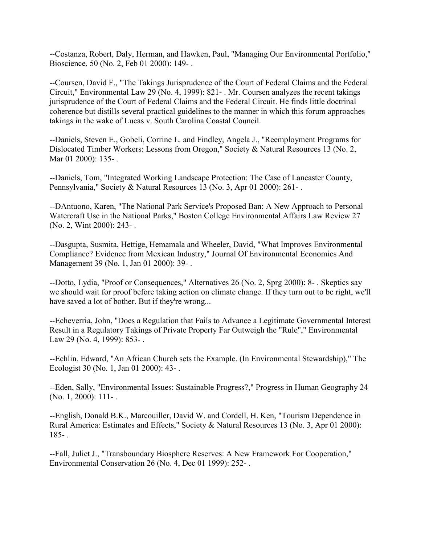--Costanza, Robert, Daly, Herman, and Hawken, Paul, "Managing Our Environmental Portfolio," Bioscience. 50 (No. 2, Feb 01 2000): 149- .

--Coursen, David F., "The Takings Jurisprudence of the Court of Federal Claims and the Federal Circuit," Environmental Law 29 (No. 4, 1999): 821- . Mr. Coursen analyzes the recent takings jurisprudence of the Court of Federal Claims and the Federal Circuit. He finds little doctrinal coherence but distills several practical guidelines to the manner in which this forum approaches takings in the wake of Lucas v. South Carolina Coastal Council.

--Daniels, Steven E., Gobeli, Corrine L. and Findley, Angela J., "Reemployment Programs for Dislocated Timber Workers: Lessons from Oregon," Society & Natural Resources 13 (No. 2, Mar 01 2000): 135-.

--Daniels, Tom, "Integrated Working Landscape Protection: The Case of Lancaster County, Pennsylvania," Society & Natural Resources 13 (No. 3, Apr 01 2000): 261-.

--DAntuono, Karen, "The National Park Service's Proposed Ban: A New Approach to Personal Watercraft Use in the National Parks," Boston College Environmental Affairs Law Review 27 (No. 2, Wint 2000): 243- .

--Dasgupta, Susmita, Hettige, Hemamala and Wheeler, David, "What Improves Environmental Compliance? Evidence from Mexican Industry," Journal Of Environmental Economics And Management 39 (No. 1, Jan 01 2000): 39- .

--Dotto, Lydia, "Proof or Consequences," Alternatives 26 (No. 2, Sprg 2000): 8- . Skeptics say we should wait for proof before taking action on climate change. If they turn out to be right, we'll have saved a lot of bother. But if they're wrong...

--Echeverria, John, "Does a Regulation that Fails to Advance a Legitimate Governmental Interest Result in a Regulatory Takings of Private Property Far Outweigh the "Rule"," Environmental Law 29 (No. 4, 1999): 853-.

--Echlin, Edward, "An African Church sets the Example. (In Environmental Stewardship)," The Ecologist 30 (No. 1, Jan 01 2000): 43- .

--Eden, Sally, "Environmental Issues: Sustainable Progress?," Progress in Human Geography 24 (No. 1, 2000): 111- .

--English, Donald B.K., Marcouiller, David W. and Cordell, H. Ken, "Tourism Dependence in Rural America: Estimates and Effects," Society & Natural Resources 13 (No. 3, Apr 01 2000): 185- .

--Fall, Juliet J., "Transboundary Biosphere Reserves: A New Framework For Cooperation," Environmental Conservation 26 (No. 4, Dec 01 1999): 252- .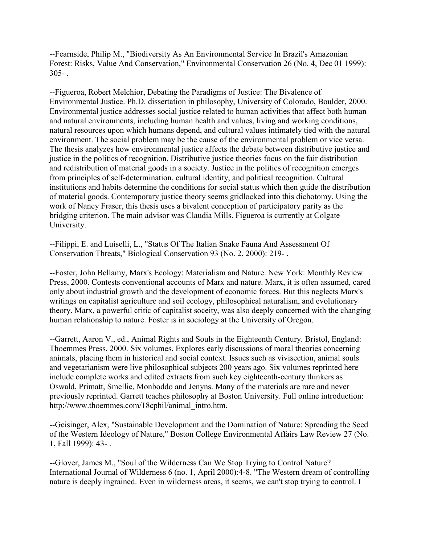--Fearnside, Philip M., "Biodiversity As An Environmental Service In Brazil's Amazonian Forest: Risks, Value And Conservation," Environmental Conservation 26 (No. 4, Dec 01 1999):  $305 -$ 

--Figueroa, Robert Melchior, Debating the Paradigms of Justice: The Bivalence of Environmental Justice. Ph.D. dissertation in philosophy, University of Colorado, Boulder, 2000. Environmental justice addresses social justice related to human activities that affect both human and natural environments, including human health and values, living and working conditions, natural resources upon which humans depend, and cultural values intimately tied with the natural environment. The social problem may be the cause of the environmental problem or vice versa. The thesis analyzes how environmental justice affects the debate between distributive justice and justice in the politics of recognition. Distributive justice theories focus on the fair distribution and redistribution of material goods in a society. Justice in the politics of recognition emerges from principles of self-determination, cultural identity, and political recognition. Cultural institutions and habits determine the conditions for social status which then guide the distribution of material goods. Contemporary justice theory seems gridlocked into this dichotomy. Using the work of Nancy Fraser, this thesis uses a bivalent conception of participatory parity as the bridging criterion. The main advisor was Claudia Mills. Figueroa is currently at Colgate University.

--Filippi, E. and Luiselli, L., "Status Of The Italian Snake Fauna And Assessment Of Conservation Threats," Biological Conservation 93 (No. 2, 2000): 219- .

--Foster, John Bellamy, Marx's Ecology: Materialism and Nature. New York: Monthly Review Press, 2000. Contests conventional accounts of Marx and nature. Marx, it is often assumed, cared only about industrial growth and the development of economic forces. But this neglects Marx's writings on capitalist agriculture and soil ecology, philosophical naturalism, and evolutionary theory. Marx, a powerful critic of capitalist soceity, was also deeply concerned with the changing human relationship to nature. Foster is in sociology at the University of Oregon.

--Garrett, Aaron V., ed., Animal Rights and Souls in the Eighteenth Century. Bristol, England: Thoemmes Press, 2000. Six volumes. Explores early discussions of moral theories concerning animals, placing them in historical and social context. Issues such as vivisection, animal souls and vegetarianism were live philosophical subjects 200 years ago. Six volumes reprinted here include complete works and edited extracts from such key eighteenth-century thinkers as Oswald, Primatt, Smellie, Monboddo and Jenyns. Many of the materials are rare and never previously reprinted. Garrett teaches philosophy at Boston University. Full online introduction: http://www.thoemmes.com/18cphil/animal\_intro.htm.

--Geisinger, Alex, "Sustainable Development and the Domination of Nature: Spreading the Seed of the Western Ideology of Nature," Boston College Environmental Affairs Law Review 27 (No. 1, Fall 1999): 43- .

--Glover, James M., "Soul of the Wilderness Can We Stop Trying to Control Nature? International Journal of Wilderness 6 (no. 1, April 2000):4-8. "The Western dream of controlling nature is deeply ingrained. Even in wilderness areas, it seems, we can't stop trying to control. I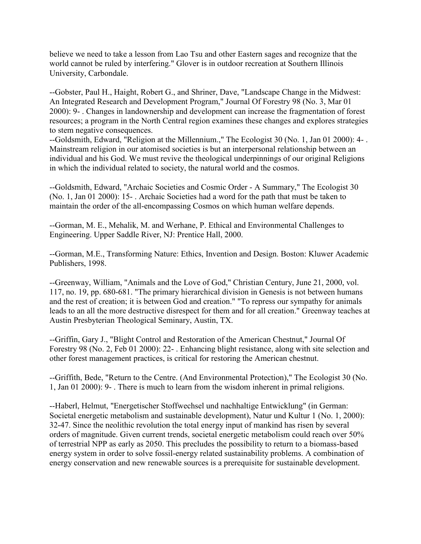believe we need to take a lesson from Lao Tsu and other Eastern sages and recognize that the world cannot be ruled by interfering." Glover is in outdoor recreation at Southern Illinois University, Carbondale.

--Gobster, Paul H., Haight, Robert G., and Shriner, Dave, "Landscape Change in the Midwest: An Integrated Research and Development Program," Journal Of Forestry 98 (No. 3, Mar 01 2000): 9- . Changes in landownership and development can increase the fragmentation of forest resources; a program in the North Central region examines these changes and explores strategies to stem negative consequences.

--Goldsmith, Edward, "Religion at the Millennium.," The Ecologist 30 (No. 1, Jan 01 2000): 4- . Mainstream religion in our atomised societies is but an interpersonal relationship between an individual and his God. We must revive the theological underpinnings of our original Religions in which the individual related to society, the natural world and the cosmos.

--Goldsmith, Edward, "Archaic Societies and Cosmic Order - A Summary," The Ecologist 30 (No. 1, Jan 01 2000): 15- . Archaic Societies had a word for the path that must be taken to maintain the order of the all-encompassing Cosmos on which human welfare depends.

--Gorman, M. E., Mehalik, M. and Werhane, P. Ethical and Environmental Challenges to Engineering. Upper Saddle River, NJ: Prentice Hall, 2000.

--Gorman, M.E., Transforming Nature: Ethics, Invention and Design. Boston: Kluwer Academic Publishers, 1998.

--Greenway, William, "Animals and the Love of God," Christian Century, June 21, 2000, vol. 117, no. 19, pp. 680-681. "The primary hierarchical division in Genesis is not between humans and the rest of creation; it is between God and creation." "To repress our sympathy for animals leads to an all the more destructive disrespect for them and for all creation." Greenway teaches at Austin Presbyterian Theological Seminary, Austin, TX.

--Griffin, Gary J., "Blight Control and Restoration of the American Chestnut," Journal Of Forestry 98 (No. 2, Feb 01 2000): 22- . Enhancing blight resistance, along with site selection and other forest management practices, is critical for restoring the American chestnut.

--Griffith, Bede, "Return to the Centre. (And Environmental Protection)," The Ecologist 30 (No. 1, Jan 01 2000): 9- . There is much to learn from the wisdom inherent in primal religions.

--Haberl, Helmut, "Energetischer Stoffwechsel und nachhaltige Entwicklung" (in German: Societal energetic metabolism and sustainable development), Natur und Kultur 1 (No. 1, 2000): 32-47. Since the neolithic revolution the total energy input of mankind has risen by several orders of magnitude. Given current trends, societal energetic metabolism could reach over 50% of terrestrial NPP as early as 2050. This precludes the possibility to return to a biomass-based energy system in order to solve fossil-energy related sustainability problems. A combination of energy conservation and new renewable sources is a prerequisite for sustainable development.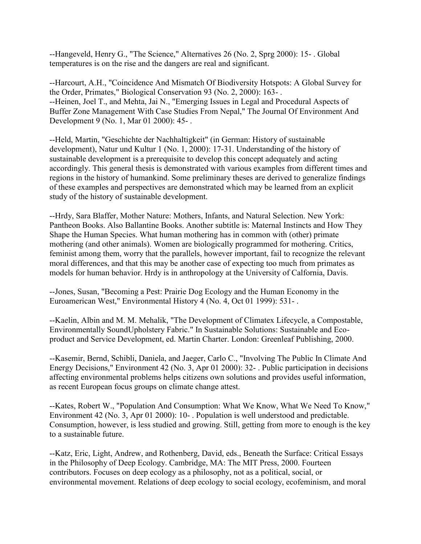--Hangeveld, Henry G., "The Science," Alternatives 26 (No. 2, Sprg 2000): 15- . Global temperatures is on the rise and the dangers are real and significant.

--Harcourt, A.H., "Coincidence And Mismatch Of Biodiversity Hotspots: A Global Survey for the Order, Primates," Biological Conservation 93 (No. 2, 2000): 163- . --Heinen, Joel T., and Mehta, Jai N., "Emerging Issues in Legal and Procedural Aspects of Buffer Zone Management With Case Studies From Nepal," The Journal Of Environment And Development 9 (No. 1, Mar 01 2000): 45- .

--Held, Martin, "Geschichte der Nachhaltigkeit" (in German: History of sustainable development), Natur und Kultur 1 (No. 1, 2000): 17-31. Understanding of the history of sustainable development is a prerequisite to develop this concept adequately and acting accordingly. This general thesis is demonstrated with various examples from different times and regions in the history of humankind. Some preliminary theses are derived to generalize findings of these examples and perspectives are demonstrated which may be learned from an explicit study of the history of sustainable development.

--Hrdy, Sara Blaffer, Mother Nature: Mothers, Infants, and Natural Selection. New York: Pantheon Books. Also Ballantine Books. Another subtitle is: Maternal Instincts and How They Shape the Human Species. What human mothering has in common with (other) primate mothering (and other animals). Women are biologically programmed for mothering. Critics, feminist among them, worry that the parallels, however important, fail to recognize the relevant moral differences, and that this may be another case of expecting too much from primates as models for human behavior. Hrdy is in anthropology at the University of Calfornia, Davis.

--Jones, Susan, "Becoming a Pest: Prairie Dog Ecology and the Human Economy in the Euroamerican West," Environmental History 4 (No. 4, Oct 01 1999): 531- .

--Kaelin, Albin and M. M. Mehalik, "The Development of Climatex Lifecycle, a Compostable, Environmentally SoundUpholstery Fabric." In Sustainable Solutions: Sustainable and Ecoproduct and Service Development, ed. Martin Charter. London: Greenleaf Publishing, 2000.

--Kasemir, Bernd, Schibli, Daniela, and Jaeger, Carlo C., "Involving The Public In Climate And Energy Decisions," Environment 42 (No. 3, Apr 01 2000): 32- . Public participation in decisions affecting environmental problems helps citizens own solutions and provides useful information, as recent European focus groups on climate change attest.

--Kates, Robert W., "Population And Consumption: What We Know, What We Need To Know," Environment 42 (No. 3, Apr 01 2000): 10- . Population is well understood and predictable. Consumption, however, is less studied and growing. Still, getting from more to enough is the key to a sustainable future.

--Katz, Eric, Light, Andrew, and Rothenberg, David, eds., Beneath the Surface: Critical Essays in the Philosophy of Deep Ecology. Cambridge, MA: The MIT Press, 2000. Fourteen contributors. Focuses on deep ecology as a philosophy, not as a political, social, or environmental movement. Relations of deep ecology to social ecology, ecofeminism, and moral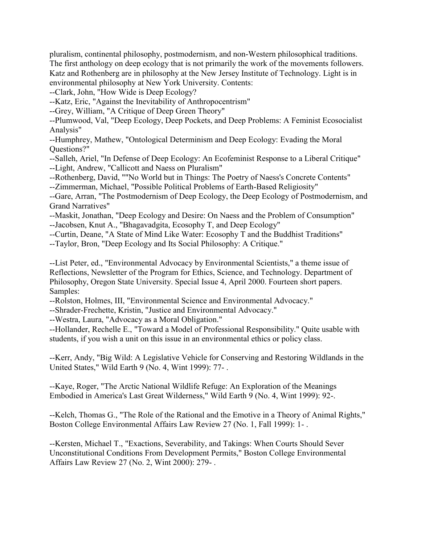pluralism, continental philosophy, postmodernism, and non-Western philosophical traditions. The first anthology on deep ecology that is not primarily the work of the movements followers. Katz and Rothenberg are in philosophy at the New Jersey Institute of Technology. Light is in environmental philosophy at New York University. Contents:

--Clark, John, "How Wide is Deep Ecology?

--Katz, Eric, "Against the Inevitability of Anthropocentrism"

--Grey, William, "A Critique of Deep Green Theory"

--Plumwood, Val, "Deep Ecology, Deep Pockets, and Deep Problems: A Feminist Ecosocialist Analysis"

--Humphrey, Mathew, "Ontological Determinism and Deep Ecology: Evading the Moral Questions?"

--Salleh, Ariel, "In Defense of Deep Ecology: An Ecofeminist Response to a Liberal Critique" --Light, Andrew, "Callicott and Naess on Pluralism"

--Rothenberg, David, ""No World but in Things: The Poetry of Naess's Concrete Contents"

--Zimmerman, Michael, "Possible Political Problems of Earth-Based Religiosity"

--Gare, Arran, "The Postmodernism of Deep Ecology, the Deep Ecology of Postmodernism, and Grand Narratives"

--Maskit, Jonathan, "Deep Ecology and Desire: On Naess and the Problem of Consumption" --Jacobsen, Knut A., "Bhagavadgita, Ecosophy T, and Deep Ecology"

--Curtin, Deane, "A State of Mind Like Water: Ecosophy T and the Buddhist Traditions"

--Taylor, Bron, "Deep Ecology and Its Social Philosophy: A Critique."

--List Peter, ed., "Environmental Advocacy by Environmental Scientists," a theme issue of Reflections, Newsletter of the Program for Ethics, Science, and Technology. Department of Philosophy, Oregon State University. Special Issue 4, April 2000. Fourteen short papers. Samples:

--Rolston, Holmes, III, "Environmental Science and Environmental Advocacy."

--Shrader-Frechette, Kristin, "Justice and Environmental Advocacy."

--Westra, Laura, "Advocacy as a Moral Obligation."

--Hollander, Rechelle E., "Toward a Model of Professional Responsibility." Quite usable with students, if you wish a unit on this issue in an environmental ethics or policy class.

--Kerr, Andy, "Big Wild: A Legislative Vehicle for Conserving and Restoring Wildlands in the United States," Wild Earth 9 (No. 4, Wint 1999): 77- .

--Kaye, Roger, "The Arctic National Wildlife Refuge: An Exploration of the Meanings Embodied in America's Last Great Wilderness," Wild Earth 9 (No. 4, Wint 1999): 92-.

--Kelch, Thomas G., "The Role of the Rational and the Emotive in a Theory of Animal Rights," Boston College Environmental Affairs Law Review 27 (No. 1, Fall 1999): 1- .

--Kersten, Michael T., "Exactions, Severability, and Takings: When Courts Should Sever Unconstitutional Conditions From Development Permits," Boston College Environmental Affairs Law Review 27 (No. 2, Wint 2000): 279- .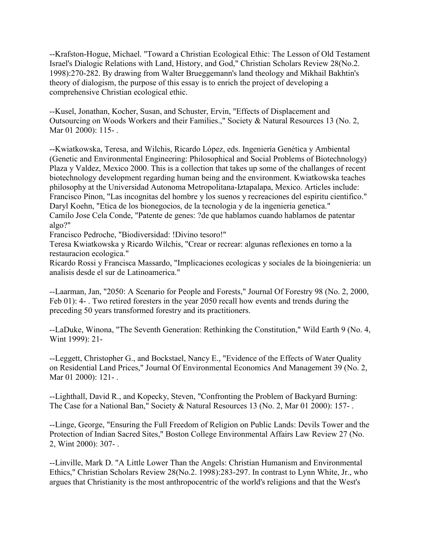--Krafston-Hogue, Michael. "Toward a Christian Ecological Ethic: The Lesson of Old Testament Israel's Dialogic Relations with Land, History, and God," Christian Scholars Review 28(No.2. 1998):270-282. By drawing from Walter Brueggemann's land theology and Mikhail Bakhtin's theory of dialogism, the purpose of this essay is to enrich the project of developing a comprehensive Christian ecological ethic.

--Kusel, Jonathan, Kocher, Susan, and Schuster, Ervin, "Effects of Displacement and Outsourcing on Woods Workers and their Families.," Society & Natural Resources 13 (No. 2, Mar 01 2000): 115-.

--Kwiatkowska, Teresa, and Wilchis, Ricardo López, eds. Ingeniería Genética y Ambiental (Genetic and Environmental Engineering: Philosophical and Social Problems of Biotechnology) Plaza y Valdez, Mexico 2000. This is a collection that takes up some of the challanges of recent biotechnology development regarding human being and the environment. Kwiatkowska teaches philosophy at the Universidad Autonoma Metropolitana-Iztapalapa, Mexico. Articles include: Francisco Pinon, "Las incognitas del hombre y los suenos y recreaciones del espiritu cientifico." Daryl Koehn, "Etica de los bionegocios, de la tecnologia y de la ingenieria genetica." Camilo Jose Cela Conde, "Patente de genes: ?de que hablamos cuando hablamos de patentar algo?"

Francisco Pedroche, "Biodiversidad: !Divino tesoro!"

Teresa Kwiatkowska y Ricardo Wilchis, "Crear or recrear: algunas reflexiones en torno a la restauracion ecologica."

Ricardo Rossi y Francisca Massardo, "Implicaciones ecologicas y sociales de la bioingenieria: un analisis desde el sur de Latinoamerica."

--Laarman, Jan, "2050: A Scenario for People and Forests," Journal Of Forestry 98 (No. 2, 2000, Feb 01): 4- . Two retired foresters in the year 2050 recall how events and trends during the preceding 50 years transformed forestry and its practitioners.

--LaDuke, Winona, "The Seventh Generation: Rethinking the Constitution," Wild Earth 9 (No. 4, Wint 1999): 21-

--Leggett, Christopher G., and Bockstael, Nancy E., "Evidence of the Effects of Water Quality on Residential Land Prices," Journal Of Environmental Economics And Management 39 (No. 2, Mar 01 2000): 121-.

--Lighthall, David R., and Kopecky, Steven, "Confronting the Problem of Backyard Burning: The Case for a National Ban," Society & Natural Resources 13 (No. 2, Mar 01 2000): 157- .

--Linge, George, "Ensuring the Full Freedom of Religion on Public Lands: Devils Tower and the Protection of Indian Sacred Sites," Boston College Environmental Affairs Law Review 27 (No. 2, Wint 2000): 307- .

--Linville, Mark D. "A Little Lower Than the Angels: Christian Humanism and Environmental Ethics," Christian Scholars Review 28(No.2. 1998):283-297. In contrast to Lynn White, Jr., who argues that Christianity is the most anthropocentric of the world's religions and that the West's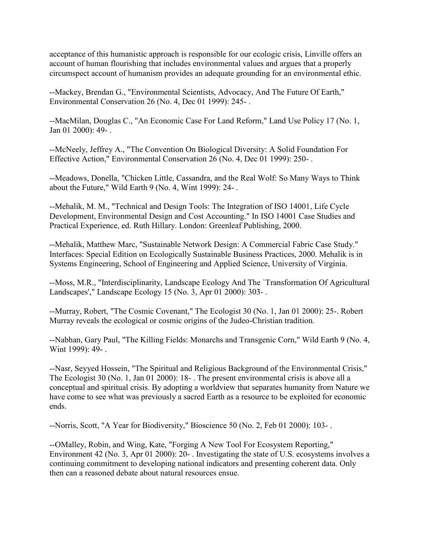acceptance of this humanistic approach is responsible for our ecologic crisis, Linville offers an account of human flourishing that includes environmental values and argues that a properly circumspect account of humanism provides an adequate grounding for an environmental ethic.

--Mackey, Brendan G., "Environmental Scientists, Advocacy, And The Future Of Earth," Environmental Conservation 26 (No. 4, Dec 01 1999): 245- .

--MacMilan, Douglas C., "An Economic Case For Land Reform," Land Use Policy 17 (No. 1, Jan 01 2000): 49- .

--McNeely, Jeffrey A., "The Convention On Biological Diversity: A Solid Foundation For Effective Action," Environmental Conservation 26 (No. 4, Dec 01 1999): 250- .

--Meadows, Donella, "Chicken Little, Cassandra, and the Real Wolf: So Many Ways to Think about the Future," Wild Earth 9 (No. 4, Wint 1999): 24- .

--Mehalik, M. M., "Technical and Design Tools: The Integration of ISO 14001, Life Cycle Development, Environmental Design and Cost Accounting." In ISO 14001 Case Studies and Practical Experience, ed. Ruth Hillary. London: Greenleaf Publishing, 2000.

--Mehalik, Matthew Marc, "Sustainable Network Design: A Commercial Fabric Case Study." Interfaces: Special Edition on Ecologically Sustainable Business Practices, 2000. Mehalik is in Systems Engineering, School of Engineering and Applied Science, University of Virginia.

--Moss, M.R., "Interdisciplinarity, Landscape Ecology And The `Transformation Of Agricultural Landscapes'," Landscape Ecology 15 (No. 3, Apr 01 2000): 303- .

--Murray, Robert, "The Cosmic Covenant," The Ecologist 30 (No. 1, Jan 01 2000): 25-. Robert Murray reveals the ecological or cosmic origins of the Judeo-Christian tradition.

--Nabhan, Gary Paul, "The Killing Fields: Monarchs and Transgenic Corn," Wild Earth 9 (No. 4, Wint 1999): 49-.

--Nasr, Seyyed Hossein, "The Spiritual and Religious Background of the Environmental Crisis," The Ecologist 30 (No. 1, Jan 01 2000): 18- . The present environmental crisis is above all a conceptual and spiritual crisis. By adopting a worldview that separates humanity from Nature we have come to see what was previously a sacred Earth as a resource to be exploited for economic ends.

--Norris, Scott, "A Year for Biodiversity," Bioscience 50 (No. 2, Feb 01 2000): 103- .

--OMalley, Robin, and Wing, Kate, "Forging A New Tool For Ecosystem Reporting," Environment 42 (No. 3, Apr 01 2000): 20- . Investigating the state of U.S. ecosystems involves a continuing commitment to developing national indicators and presenting coherent data. Only then can a reasoned debate about natural resources ensue.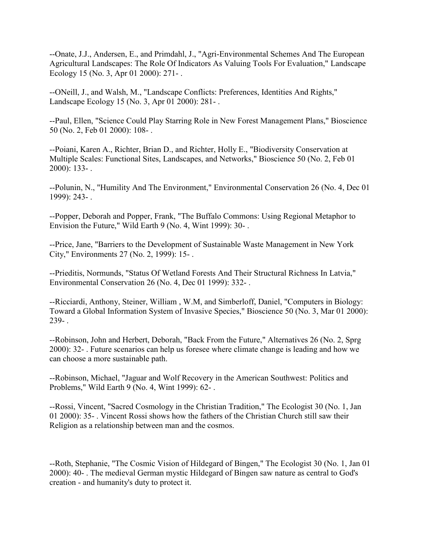--Onate, J.J., Andersen, E., and Primdahl, J., "Agri-Environmental Schemes And The European Agricultural Landscapes: The Role Of Indicators As Valuing Tools For Evaluation," Landscape Ecology 15 (No. 3, Apr 01 2000): 271- .

--ONeill, J., and Walsh, M., "Landscape Conflicts: Preferences, Identities And Rights," Landscape Ecology 15 (No. 3, Apr 01 2000): 281- .

--Paul, Ellen, "Science Could Play Starring Role in New Forest Management Plans," Bioscience 50 (No. 2, Feb 01 2000): 108- .

--Poiani, Karen A., Richter, Brian D., and Richter, Holly E., "Biodiversity Conservation at Multiple Scales: Functional Sites, Landscapes, and Networks," Bioscience 50 (No. 2, Feb 01 2000): 133- .

--Polunin, N., "Humility And The Environment," Environmental Conservation 26 (No. 4, Dec 01 1999): 243- .

--Popper, Deborah and Popper, Frank, "The Buffalo Commons: Using Regional Metaphor to Envision the Future," Wild Earth 9 (No. 4, Wint 1999): 30- .

--Price, Jane, "Barriers to the Development of Sustainable Waste Management in New York City," Environments 27 (No. 2, 1999): 15- .

--Prieditis, Normunds, "Status Of Wetland Forests And Their Structural Richness In Latvia," Environmental Conservation 26 (No. 4, Dec 01 1999): 332- .

--Ricciardi, Anthony, Steiner, William , W.M, and Simberloff, Daniel, "Computers in Biology: Toward a Global Information System of Invasive Species," Bioscience 50 (No. 3, Mar 01 2000): 239- .

--Robinson, John and Herbert, Deborah, "Back From the Future," Alternatives 26 (No. 2, Sprg 2000): 32- . Future scenarios can help us foresee where climate change is leading and how we can choose a more sustainable path.

--Robinson, Michael, "Jaguar and Wolf Recovery in the American Southwest: Politics and Problems," Wild Earth 9 (No. 4, Wint 1999): 62- .

--Rossi, Vincent, "Sacred Cosmology in the Christian Tradition," The Ecologist 30 (No. 1, Jan 01 2000): 35- . Vincent Rossi shows how the fathers of the Christian Church still saw their Religion as a relationship between man and the cosmos.

--Roth, Stephanie, "The Cosmic Vision of Hildegard of Bingen," The Ecologist 30 (No. 1, Jan 01 2000): 40- . The medieval German mystic Hildegard of Bingen saw nature as central to God's creation - and humanity's duty to protect it.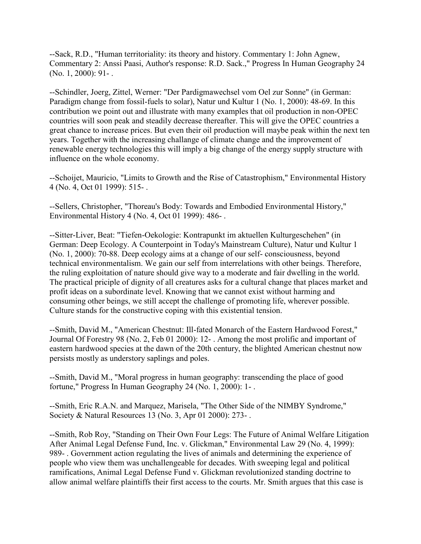--Sack, R.D., "Human territoriality: its theory and history. Commentary 1: John Agnew, Commentary 2: Anssi Paasi, Author's response: R.D. Sack.," Progress In Human Geography 24 (No. 1, 2000): 91- .

--Schindler, Joerg, Zittel, Werner: "Der Pardigmawechsel vom Oel zur Sonne" (in German: Paradigm change from fossil-fuels to solar), Natur und Kultur 1 (No. 1, 2000): 48-69. In this contribution we point out and illustrate with many examples that oil production in non-OPEC countries will soon peak and steadily decrease thereafter. This will give the OPEC countries a great chance to increase prices. But even their oil production will maybe peak within the next ten years. Together with the increasing challange of climate change and the improvement of renewable energy technologies this will imply a big change of the energy supply structure with influence on the whole economy.

--Schoijet, Mauricio, "Limits to Growth and the Rise of Catastrophism," Environmental History 4 (No. 4, Oct 01 1999): 515- .

--Sellers, Christopher, "Thoreau's Body: Towards and Embodied Environmental History," Environmental History 4 (No. 4, Oct 01 1999): 486- .

--Sitter-Liver, Beat: "Tiefen-Oekologie: Kontrapunkt im aktuellen Kulturgeschehen" (in German: Deep Ecology. A Counterpoint in Today's Mainstream Culture), Natur und Kultur 1 (No. 1, 2000): 70-88. Deep ecology aims at a change of our self- consciousness, beyond technical environmentalism. We gain our self from interrelations with other beings. Therefore, the ruling exploitation of nature should give way to a moderate and fair dwelling in the world. The practical priciple of dignity of all creatures asks for a cultural change that places market and profit ideas on a subordinate level. Knowing that we cannot exist without harming and consuming other beings, we still accept the challenge of promoting life, wherever possible. Culture stands for the constructive coping with this existential tension.

--Smith, David M., "American Chestnut: Ill-fated Monarch of the Eastern Hardwood Forest," Journal Of Forestry 98 (No. 2, Feb 01 2000): 12- . Among the most prolific and important of eastern hardwood species at the dawn of the 20th century, the blighted American chestnut now persists mostly as understory saplings and poles.

--Smith, David M., "Moral progress in human geography: transcending the place of good fortune," Progress In Human Geography 24 (No. 1, 2000): 1- .

--Smith, Eric R.A.N. and Marquez, Marisela, "The Other Side of the NIMBY Syndrome," Society & Natural Resources 13 (No. 3, Apr 01 2000): 273- .

--Smith, Rob Roy, "Standing on Their Own Four Legs: The Future of Animal Welfare Litigation After Animal Legal Defense Fund, Inc. v. Glickman," Environmental Law 29 (No. 4, 1999): 989- . Government action regulating the lives of animals and determining the experience of people who view them was unchallengeable for decades. With sweeping legal and political ramifications, Animal Legal Defense Fund v. Glickman revolutionized standing doctrine to allow animal welfare plaintiffs their first access to the courts. Mr. Smith argues that this case is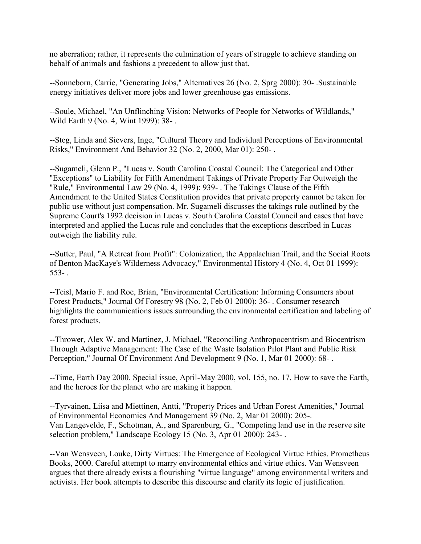no aberration; rather, it represents the culmination of years of struggle to achieve standing on behalf of animals and fashions a precedent to allow just that.

--Sonneborn, Carrie, "Generating Jobs," Alternatives 26 (No. 2, Sprg 2000): 30- .Sustainable energy initiatives deliver more jobs and lower greenhouse gas emissions.

--Soule, Michael, "An Unflinching Vision: Networks of People for Networks of Wildlands," Wild Earth 9 (No. 4, Wint 1999): 38- .

--Steg, Linda and Sievers, Inge, "Cultural Theory and Individual Perceptions of Environmental Risks," Environment And Behavior 32 (No. 2, 2000, Mar 01): 250- .

--Sugameli, Glenn P., "Lucas v. South Carolina Coastal Council: The Categorical and Other "Exceptions" to Liability for Fifth Amendment Takings of Private Property Far Outweigh the "Rule," Environmental Law 29 (No. 4, 1999): 939- . The Takings Clause of the Fifth Amendment to the United States Constitution provides that private property cannot be taken for public use without just compensation. Mr. Sugameli discusses the takings rule outlined by the Supreme Court's 1992 decision in Lucas v. South Carolina Coastal Council and cases that have interpreted and applied the Lucas rule and concludes that the exceptions described in Lucas outweigh the liability rule.

--Sutter, Paul, "A Retreat from Profit": Colonization, the Appalachian Trail, and the Social Roots of Benton MacKaye's Wilderness Advocacy," Environmental History 4 (No. 4, Oct 01 1999):  $553-$ .

--Teisl, Mario F. and Roe, Brian, "Environmental Certification: Informing Consumers about Forest Products," Journal Of Forestry 98 (No. 2, Feb 01 2000): 36- . Consumer research highlights the communications issues surrounding the environmental certification and labeling of forest products.

--Thrower, Alex W. and Martinez, J. Michael, "Reconciling Anthropocentrism and Biocentrism Through Adaptive Management: The Case of the Waste Isolation Pilot Plant and Public Risk Perception," Journal Of Environment And Development 9 (No. 1, Mar 01 2000): 68- .

--Time, Earth Day 2000. Special issue, April-May 2000, vol. 155, no. 17. How to save the Earth, and the heroes for the planet who are making it happen.

--Tyrvainen, Liisa and Miettinen, Antti, "Property Prices and Urban Forest Amenities," Journal of Environmental Economics And Management 39 (No. 2, Mar 01 2000): 205-. Van Langevelde, F., Schotman, A., and Sparenburg, G., "Competing land use in the reserve site selection problem," Landscape Ecology 15 (No. 3, Apr 01 2000): 243- .

--Van Wensveen, Louke, Dirty Virtues: The Emergence of Ecological Virtue Ethics. Prometheus Books, 2000. Careful attempt to marry environmental ethics and virtue ethics. Van Wensveen argues that there already exists a flourishing "virtue language" among environmental writers and activists. Her book attempts to describe this discourse and clarify its logic of justification.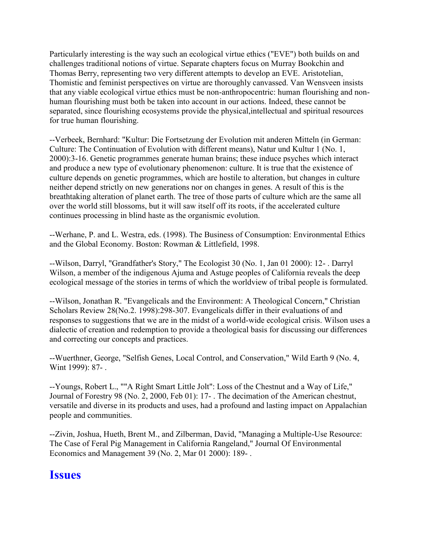Particularly interesting is the way such an ecological virtue ethics ("EVE") both builds on and challenges traditional notions of virtue. Separate chapters focus on Murray Bookchin and Thomas Berry, representing two very different attempts to develop an EVE. Aristotelian, Thomistic and feminist perspectives on virtue are thoroughly canvassed. Van Wensveen insists that any viable ecological virtue ethics must be non-anthropocentric: human flourishing and nonhuman flourishing must both be taken into account in our actions. Indeed, these cannot be separated, since flourishing ecosystems provide the physical,intellectual and spiritual resources for true human flourishing.

--Verbeek, Bernhard: "Kultur: Die Fortsetzung der Evolution mit anderen Mitteln (in German: Culture: The Continuation of Evolution with different means), Natur und Kultur 1 (No. 1, 2000):3-16. Genetic programmes generate human brains; these induce psyches which interact and produce a new type of evolutionary phenomenon: culture. It is true that the existence of culture depends on genetic programmes, which are hostile to alteration, but changes in culture neither depend strictly on new generations nor on changes in genes. A result of this is the breathtaking alteration of planet earth. The tree of those parts of culture which are the same all over the world still blossoms, but it will saw itself off its roots, if the accelerated culture continues processing in blind haste as the organismic evolution.

--Werhane, P. and L. Westra, eds. (1998). The Business of Consumption: Environmental Ethics and the Global Economy. Boston: Rowman & Littlefield, 1998.

--Wilson, Darryl, "Grandfather's Story," The Ecologist 30 (No. 1, Jan 01 2000): 12- . Darryl Wilson, a member of the indigenous Ajuma and Astuge peoples of California reveals the deep ecological message of the stories in terms of which the worldview of tribal people is formulated.

--Wilson, Jonathan R. "Evangelicals and the Environment: A Theological Concern," Christian Scholars Review 28(No.2. 1998):298-307. Evangelicals differ in their evaluations of and responses to suggestions that we are in the midst of a world-wide ecological crisis. Wilson uses a dialectic of creation and redemption to provide a theological basis for discussing our differences and correcting our concepts and practices.

--Wuerthner, George, "Selfish Genes, Local Control, and Conservation," Wild Earth 9 (No. 4, Wint 1999): 87-.

--Youngs, Robert L., ""A Right Smart Little Jolt": Loss of the Chestnut and a Way of Life," Journal of Forestry 98 (No. 2, 2000, Feb 01): 17- . The decimation of the American chestnut, versatile and diverse in its products and uses, had a profound and lasting impact on Appalachian people and communities.

--Zivin, Joshua, Hueth, Brent M., and Zilberman, David, "Managing a Multiple-Use Resource: The Case of Feral Pig Management in California Rangeland," Journal Of Environmental Economics and Management 39 (No. 2, Mar 01 2000): 189- .

#### **Issues**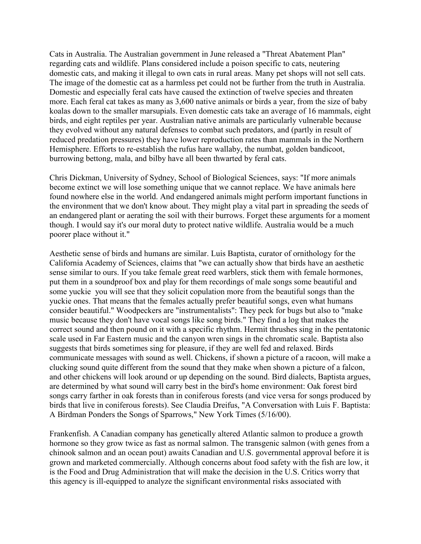Cats in Australia. The Australian government in June released a "Threat Abatement Plan" regarding cats and wildlife. Plans considered include a poison specific to cats, neutering domestic cats, and making it illegal to own cats in rural areas. Many pet shops will not sell cats. The image of the domestic cat as a harmless pet could not be further from the truth in Australia. Domestic and especially feral cats have caused the extinction of twelve species and threaten more. Each feral cat takes as many as 3,600 native animals or birds a year, from the size of baby koalas down to the smaller marsupials. Even domestic cats take an average of 16 mammals, eight birds, and eight reptiles per year. Australian native animals are particularly vulnerable because they evolved without any natural defenses to combat such predators, and (partly in result of reduced predation pressures) they have lower reproduction rates than mammals in the Northern Hemisphere. Efforts to re-establish the rufus hare wallaby, the numbat, golden bandicoot, burrowing bettong, mala, and bilby have all been thwarted by feral cats.

Chris Dickman, University of Sydney, School of Biological Sciences, says: "If more animals become extinct we will lose something unique that we cannot replace. We have animals here found nowhere else in the world. And endangered animals might perform important functions in the environment that we don't know about. They might play a vital part in spreading the seeds of an endangered plant or aerating the soil with their burrows. Forget these arguments for a moment though. I would say it's our moral duty to protect native wildlife. Australia would be a much poorer place without it."

Aesthetic sense of birds and humans are similar. Luis Baptista, curator of ornithology for the California Academy of Sciences, claims that "we can actually show that birds have an aesthetic sense similar to ours. If you take female great reed warblers, stick them with female hormones, put them in a soundproof box and play for them recordings of male songs some beautiful and some yuckie you will see that they solicit copulation more from the beautiful songs than the yuckie ones. That means that the females actually prefer beautiful songs, even what humans consider beautiful." Woodpeckers are "instrumentalists": They peck for bugs but also to "make music because they don't have vocal songs like song birds." They find a log that makes the correct sound and then pound on it with a specific rhythm. Hermit thrushes sing in the pentatonic scale used in Far Eastern music and the canyon wren sings in the chromatic scale. Baptista also suggests that birds sometimes sing for pleasure, if they are well fed and relaxed. Birds communicate messages with sound as well. Chickens, if shown a picture of a racoon, will make a clucking sound quite different from the sound that they make when shown a picture of a falcon, and other chickens will look around or up depending on the sound. Bird dialects, Baptista argues, are determined by what sound will carry best in the bird's home environment: Oak forest bird songs carry farther in oak forests than in coniferous forests (and vice versa for songs produced by birds that live in coniferous forests). See Claudia Dreifus, "A Conversation with Luis F. Baptista: A Birdman Ponders the Songs of Sparrows," New York Times (5/16/00).

Frankenfish. A Canadian company has genetically altered Atlantic salmon to produce a growth hormone so they grow twice as fast as normal salmon. The transgenic salmon (with genes from a chinook salmon and an ocean pout) awaits Canadian and U.S. governmental approval before it is grown and marketed commercially. Although concerns about food safety with the fish are low, it is the Food and Drug Administration that will make the decision in the U.S. Critics worry that this agency is ill-equipped to analyze the significant environmental risks associated with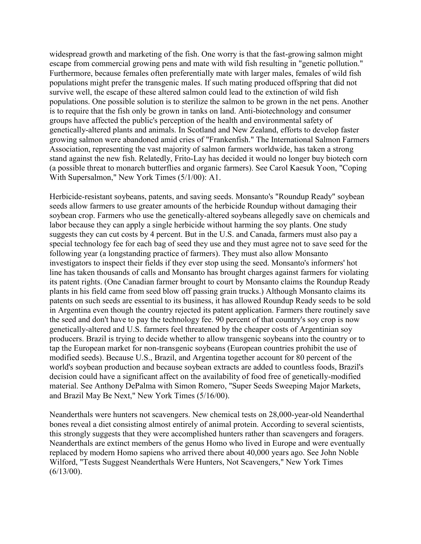widespread growth and marketing of the fish. One worry is that the fast-growing salmon might escape from commercial growing pens and mate with wild fish resulting in "genetic pollution." Furthermore, because females often preferentially mate with larger males, females of wild fish populations might prefer the transgenic males. If such mating produced offspring that did not survive well, the escape of these altered salmon could lead to the extinction of wild fish populations. One possible solution is to sterilize the salmon to be grown in the net pens. Another is to require that the fish only be grown in tanks on land. Anti-biotechnology and consumer groups have affected the public's perception of the health and environmental safety of genetically-altered plants and animals. In Scotland and New Zealand, efforts to develop faster growing salmon were abandoned amid cries of "Frankenfish." The International Salmon Farmers Association, representing the vast majority of salmon farmers worldwide, has taken a strong stand against the new fish. Relatedly, Frito-Lay has decided it would no longer buy biotech corn (a possible threat to monarch butterflies and organic farmers). See Carol Kaesuk Yoon, "Coping With Supersalmon," New York Times (5/1/00): A1.

Herbicide-resistant soybeans, patents, and saving seeds. Monsanto's "Roundup Ready" soybean seeds allow farmers to use greater amounts of the herbicide Roundup without damaging their soybean crop. Farmers who use the genetically-altered soybeans allegedly save on chemicals and labor because they can apply a single herbicide without harming the soy plants. One study suggests they can cut costs by 4 percent. But in the U.S. and Canada, farmers must also pay a special technology fee for each bag of seed they use and they must agree not to save seed for the following year (a longstanding practice of farmers). They must also allow Monsanto investigators to inspect their fields if they ever stop using the seed. Monsanto's informers' hot line has taken thousands of calls and Monsanto has brought charges against farmers for violating its patent rights. (One Canadian farmer brought to court by Monsanto claims the Roundup Ready plants in his field came from seed blow off passing grain trucks.) Although Monsanto claims its patents on such seeds are essential to its business, it has allowed Roundup Ready seeds to be sold in Argentina even though the country rejected its patent application. Farmers there routinely save the seed and don't have to pay the technology fee. 90 percent of that country's soy crop is now genetically-altered and U.S. farmers feel threatened by the cheaper costs of Argentinian soy producers. Brazil is trying to decide whether to allow transgenic soybeans into the country or to tap the European market for non-transgenic soybeans (European countries prohibit the use of modified seeds). Because U.S., Brazil, and Argentina together account for 80 percent of the world's soybean production and because soybean extracts are added to countless foods, Brazil's decision could have a significant affect on the availability of food free of genetically-modified material. See Anthony DePalma with Simon Romero, "Super Seeds Sweeping Major Markets, and Brazil May Be Next," New York Times (5/16/00).

Neanderthals were hunters not scavengers. New chemical tests on 28,000-year-old Neanderthal bones reveal a diet consisting almost entirely of animal protein. According to several scientists, this strongly suggests that they were accomplished hunters rather than scavengers and foragers. Neanderthals are extinct members of the genus Homo who lived in Europe and were eventually replaced by modern Homo sapiens who arrived there about 40,000 years ago. See John Noble Wilford, "Tests Suggest Neanderthals Were Hunters, Not Scavengers," New York Times  $(6/13/00)$ .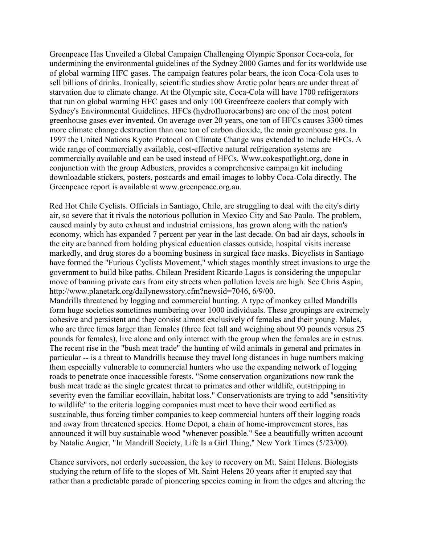Greenpeace Has Unveiled a Global Campaign Challenging Olympic Sponsor Coca-cola, for undermining the environmental guidelines of the Sydney 2000 Games and for its worldwide use of global warming HFC gases. The campaign features polar bears, the icon Coca-Cola uses to sell billions of drinks. Ironically, scientific studies show Arctic polar bears are under threat of starvation due to climate change. At the Olympic site, Coca-Cola will have 1700 refrigerators that run on global warming HFC gases and only 100 Greenfreeze coolers that comply with Sydney's Environmental Guidelines. HFCs (hydrofluorocarbons) are one of the most potent greenhouse gases ever invented. On average over 20 years, one ton of HFCs causes 3300 times more climate change destruction than one ton of carbon dioxide, the main greenhouse gas. In 1997 the United Nations Kyoto Protocol on Climate Change was extended to include HFCs. A wide range of commercially available, cost-effective natural refrigeration systems are commercially available and can be used instead of HFCs. Www.cokespotlight.org, done in conjunction with the group Adbusters, provides a comprehensive campaign kit including downloadable stickers, posters, postcards and email images to lobby Coca-Cola directly. The Greenpeace report is available at www.greenpeace.org.au.

Red Hot Chile Cyclists. Officials in Santiago, Chile, are struggling to deal with the city's dirty air, so severe that it rivals the notorious pollution in Mexico City and Sao Paulo. The problem, caused mainly by auto exhaust and industrial emissions, has grown along with the nation's economy, which has expanded 7 percent per year in the last decade. On bad air days, schools in the city are banned from holding physical education classes outside, hospital visits increase markedly, and drug stores do a booming business in surgical face masks. Bicyclists in Santiago have formed the "Furious Cyclists Movement," which stages monthly street invasions to urge the government to build bike paths. Chilean President Ricardo Lagos is considering the unpopular move of banning private cars from city streets when pollution levels are high. See Chris Aspin, http://www.planetark.org/dailynewsstory.cfm?newsid=7046, 6/9/00.

Mandrills threatened by logging and commercial hunting. A type of monkey called Mandrills form huge societies sometimes numbering over 1000 individuals. These groupings are extremely cohesive and persistent and they consist almost exclusively of females and their young. Males, who are three times larger than females (three feet tall and weighing about 90 pounds versus 25 pounds for females), live alone and only interact with the group when the females are in estrus. The recent rise in the "bush meat trade" the hunting of wild animals in general and primates in particular -- is a threat to Mandrills because they travel long distances in huge numbers making them especially vulnerable to commercial hunters who use the expanding network of logging roads to penetrate once inaccessible forests. "Some conservation organizations now rank the bush meat trade as the single greatest threat to primates and other wildlife, outstripping in severity even the familiar ecovillain, habitat loss." Conservationists are trying to add "sensitivity to wildlife" to the criteria logging companies must meet to have their wood certified as sustainable, thus forcing timber companies to keep commercial hunters off their logging roads and away from threatened species. Home Depot, a chain of home-improvement stores, has announced it will buy sustainable wood "whenever possible." See a beautifully written account by Natalie Angier, "In Mandrill Society, Life Is a Girl Thing," New York Times (5/23/00).

Chance survivors, not orderly succession, the key to recovery on Mt. Saint Helens. Biologists studying the return of life to the slopes of Mt. Saint Helens 20 years after it erupted say that rather than a predictable parade of pioneering species coming in from the edges and altering the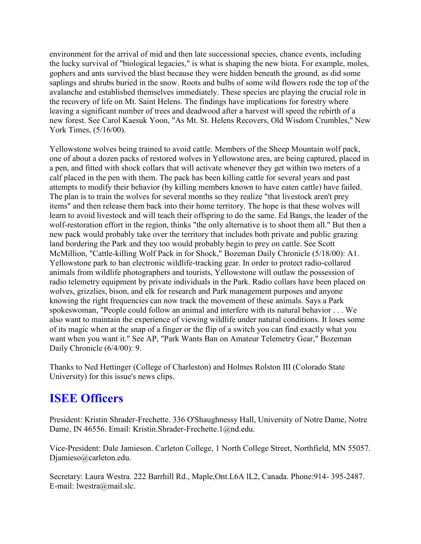environment for the arrival of mid and then late successional species, chance events, including the lucky survival of "biological legacies," is what is shaping the new biota. For example, moles, gophers and ants survived the blast because they were hidden beneath the ground, as did some saplings and shrubs buried in the snow. Roots and bulbs of some wild flowers rode the top of the avalanche and established themselves immediately. These species are playing the crucial role in the recovery of life on Mt. Saint Helens. The findings have implications for forestry where leaving a significant number of trees and deadwood after a harvest will speed the rebirth of a new forest. See Carol Kaesuk Yoon, "As Mt. St. Helens Recovers, Old Wisdom Crumbles," New York Times, (5/16/00).

Yellowstone wolves being trained to avoid cattle. Members of the Sheep Mountain wolf pack, one of about a dozen packs of restored wolves in Yellowstone area, are being captured, placed in a pen, and fitted with shock collars that will activate whenever they get within two meters of a calf placed in the pen with them. The pack has been killing cattle for several years and past attempts to modify their behavior (by killing members known to have eaten cattle) have failed. The plan is to train the wolves for several months so they realize "that livestock aren't prey items" and then release them back into their home territory. The hope is that these wolves will learn to avoid livestock and will teach their offspring to do the same. Ed Bangs, the leader of the wolf-restoration effort in the region, thinks "the only alternative is to shoot them all." But then a new pack would probably take over the territory that includes both private and public grazing land bordering the Park and they too would probably begin to prey on cattle. See Scott McMillion, "Cattle-killing Wolf Pack in for Shock," Bozeman Daily Chronicle (5/18/00): A1. Yellowstone park to ban electronic wildlife-tracking gear. In order to protect radio-collared animals from wildlife photographers and tourists, Yellowstone will outlaw the possession of radio telemetry equipment by private individuals in the Park. Radio collars have been placed on wolves, grizzlies, bison, and elk for research and Park management purposes and anyone knowing the right frequencies can now track the movement of these animals. Says a Park spokeswoman, "People could follow an animal and interfere with its natural behavior . . . We also want to maintain the experience of viewing wildlife under natural conditions. It loses some of its magic when at the snap of a finger or the flip of a switch you can find exactly what you want when you want it." See AP, "Park Wants Ban on Amateur Telemetry Gear," Bozeman Daily Chronicle (6/4/00): 9.

Thanks to Ned Hettinger (College of Charleston) and Holmes Rolston III (Colorado State University) for this issue's news clips.

## **ISEE Officers**

President: Kristin Shrader-Frechette. 336 O'Shaughnessy Hall, University of Notre Dame, Notre Dame, IN 46556. Email: Kristin.Shrader-Frechette.1@nd.edu.

Vice-President: Dale Jamieson. Carleton College, 1 North College Street, Northfield, MN 55057. Djamieso@carleton.edu.

Secretary: Laura Westra. 222 Barrhill Rd., Maple,Ont.L6A lL2, Canada. Phone:914- 395-2487. E-mail: lwestra@mail.slc.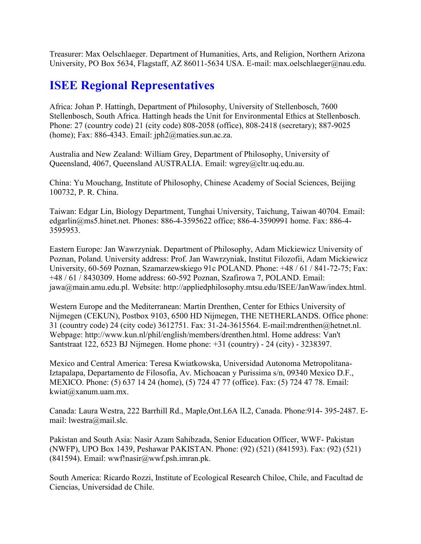Treasurer: Max Oelschlaeger. Department of Humanities, Arts, and Religion, Northern Arizona University, PO Box 5634, Flagstaff, AZ 86011-5634 USA. E-mail: max.oelschlaeger@nau.edu.

## **ISEE Regional Representatives**

Africa: Johan P. Hattingh, Department of Philosophy, University of Stellenbosch, 7600 Stellenbosch, South Africa. Hattingh heads the Unit for Environmental Ethics at Stellenbosch. Phone: 27 (country code) 21 (city code) 808-2058 (office), 808-2418 (secretary); 887-9025 (home); Fax: 886-4343. Email: jph2@maties.sun.ac.za.

Australia and New Zealand: William Grey, Department of Philosophy, University of Queensland, 4067, Queensland AUSTRALIA. Email: wgrey@cltr.uq.edu.au.

China: Yu Mouchang, Institute of Philosophy, Chinese Academy of Social Sciences, Beijing 100732, P. R. China.

Taiwan: Edgar Lin, Biology Department, Tunghai University, Taichung, Taiwan 40704. Email: edgarlin@ms5.hinet.net. Phones: 886-4-3595622 office; 886-4-3590991 home. Fax: 886-4- 3595953.

Eastern Europe: Jan Wawrzyniak. Department of Philosophy, Adam Mickiewicz University of Poznan, Poland. University address: Prof. Jan Wawrzyniak, Institut Filozofii, Adam Mickiewicz University, 60-569 Poznan, Szamarzewskiego 91c POLAND. Phone: +48 / 61 / 841-72-75; Fax: +48 / 61 / 8430309. Home address: 60-592 Poznan, Szafirowa 7, POLAND. Email: jawa@main.amu.edu.pl. Website: http://appliedphilosophy.mtsu.edu/ISEE/JanWaw/index.html.

Western Europe and the Mediterranean: Martin Drenthen, Center for Ethics University of Nijmegen (CEKUN), Postbox 9103, 6500 HD Nijmegen, THE NETHERLANDS. Office phone: 31 (country code) 24 (city code) 3612751. Fax: 31-24-3615564. E-mail:mdrenthen@hetnet.nl. Webpage: http://www.kun.nl/phil/english/members/drenthen.html. Home address: Van't Santstraat 122, 6523 BJ Nijmegen. Home phone: +31 (country) - 24 (city) - 3238397.

Mexico and Central America: Teresa Kwiatkowska, Universidad Autonoma Metropolitana-Iztapalapa, Departamento de Filosofia, Av. Michoacan y Purissima s/n, 09340 Mexico D.F., MEXICO. Phone: (5) 637 14 24 (home), (5) 724 47 77 (office). Fax: (5) 724 47 78. Email: kwiat@xanum.uam.mx.

Canada: Laura Westra, 222 Barrhill Rd., Maple,Ont.L6A lL2, Canada. Phone:914- 395-2487. Email: lwestra@mail.slc.

Pakistan and South Asia: Nasir Azam Sahibzada, Senior Education Officer, WWF- Pakistan (NWFP), UPO Box 1439, Peshawar PAKISTAN. Phone: (92) (521) (841593). Fax: (92) (521)  $(841594)$ . Email: wwf!nasir@wwf.psh.imran.pk.

South America: Ricardo Rozzi, Institute of Ecological Research Chiloe, Chile, and Facultad de Ciencias, Universidad de Chile.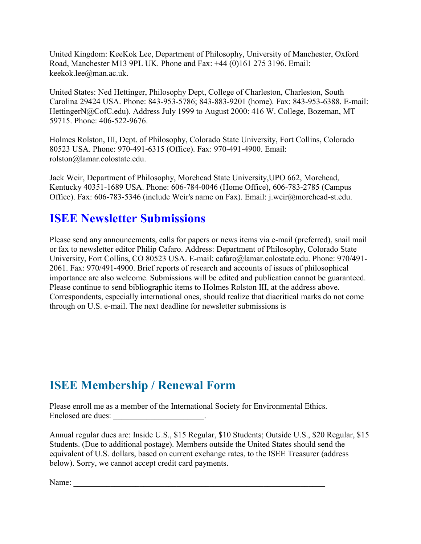United Kingdom: KeeKok Lee, Department of Philosophy, University of Manchester, Oxford Road, Manchester M13 9PL UK. Phone and Fax: +44 (0)161 275 3196. Email: keekok.lee@man.ac.uk.

United States: Ned Hettinger, Philosophy Dept, College of Charleston, Charleston, South Carolina 29424 USA. Phone: 843-953-5786; 843-883-9201 (home). Fax: 843-953-6388. E-mail: HettingerN@CofC.edu). Address July 1999 to August 2000: 416 W. College, Bozeman, MT 59715. Phone: 406-522-9676.

Holmes Rolston, III, Dept. of Philosophy, Colorado State University, Fort Collins, Colorado 80523 USA. Phone: 970-491-6315 (Office). Fax: 970-491-4900. Email: rolston@lamar.colostate.edu.

Jack Weir, Department of Philosophy, Morehead State University,UPO 662, Morehead, Kentucky 40351-1689 USA. Phone: 606-784-0046 (Home Office), 606-783-2785 (Campus Office). Fax: 606-783-5346 (include Weir's name on Fax). Email: j.weir@morehead-st.edu.

### **ISEE Newsletter Submissions**

Please send any announcements, calls for papers or news items via e-mail (preferred), snail mail or fax to newsletter editor Philip Cafaro. Address: Department of Philosophy, Colorado State University, Fort Collins, CO 80523 USA. E-mail: cafaro@lamar.colostate.edu. Phone: 970/491- 2061. Fax: 970/491-4900. Brief reports of research and accounts of issues of philosophical importance are also welcome. Submissions will be edited and publication cannot be guaranteed. Please continue to send bibliographic items to Holmes Rolston III, at the address above. Correspondents, especially international ones, should realize that diacritical marks do not come through on U.S. e-mail. The next deadline for newsletter submissions is

# **ISEE Membership / Renewal Form**

Please enroll me as a member of the International Society for Environmental Ethics. Enclosed are dues:

Annual regular dues are: Inside U.S., \$15 Regular, \$10 Students; Outside U.S., \$20 Regular, \$15 Students. (Due to additional postage). Members outside the United States should send the equivalent of U.S. dollars, based on current exchange rates, to the ISEE Treasurer (address below). Sorry, we cannot accept credit card payments.

Name: